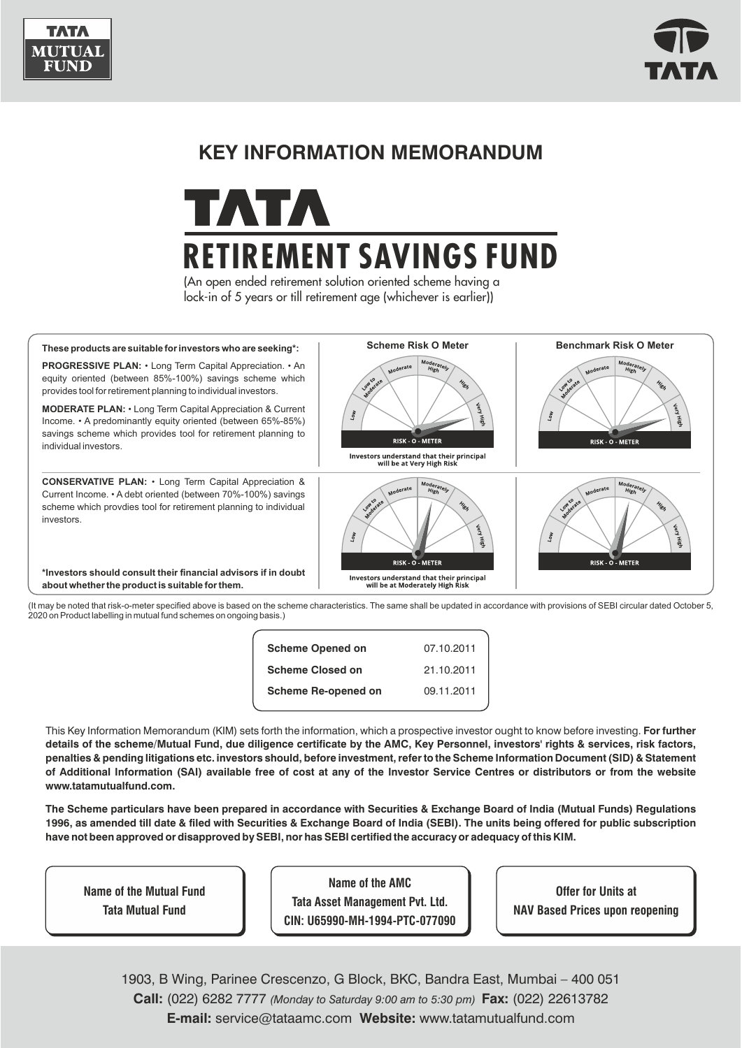



# **KEY INFORMATION MEMORANDUM**



(An open ended retirement solution oriented scheme having a lock-in of 5 years or till retirement age (whichever is earlier))



2020 on Product labelling in mutual fund schemes on ongoing basis.)

| <b>Scheme Opened on</b>    | 07.10.2011 |
|----------------------------|------------|
| <b>Scheme Closed on</b>    | 21.10.2011 |
| <b>Scheme Re-opened on</b> | 09.11.2011 |
|                            |            |

This Key Information Memorandum (KIM) sets forth the information, which a prospective investor ought to know before investing. **For further details of the scheme/Mutual Fund, due diligence certificate by the AMC, Key Personnel, investors' rights & services, risk factors, penalties & pending litigations etc. investors should, before investment, refer to the Scheme Information Document (SID) & Statement of Additional Information (SAI) available free of cost at any of the Investor Service Centres or distributors or from the website www.tatamutualfund.com.** 

**The Scheme particulars have been prepared in accordance with Securities & Exchange Board of India (Mutual Funds) Regulations 1996, as amended till date & filed with Securities & Exchange Board of India (SEBI). The units being offered for public subscription have not been approved or disapproved by SEBI, nor has SEBI certified the accuracy or adequacy of this KIM.**

**Name of the Mutual Fund Tata Mutual Fund**

**Name of the AMC Tata Asset Management Pvt. Ltd. CIN: U65990-MH-1994-PTC-077090**

**Offer for Units at NAV Based Prices upon reopening**

1903, B Wing, Parinee Crescenzo, G Block, BKC, Bandra East, Mumbai – 400 051 **E-mail:** service@tataamc.com **Website:** www.tatamutualfund.com **Call:** (022) 6282 7777 *(Monday to Saturday 9:00 am to 5:30 pm)* **Fax:** (022) 22613782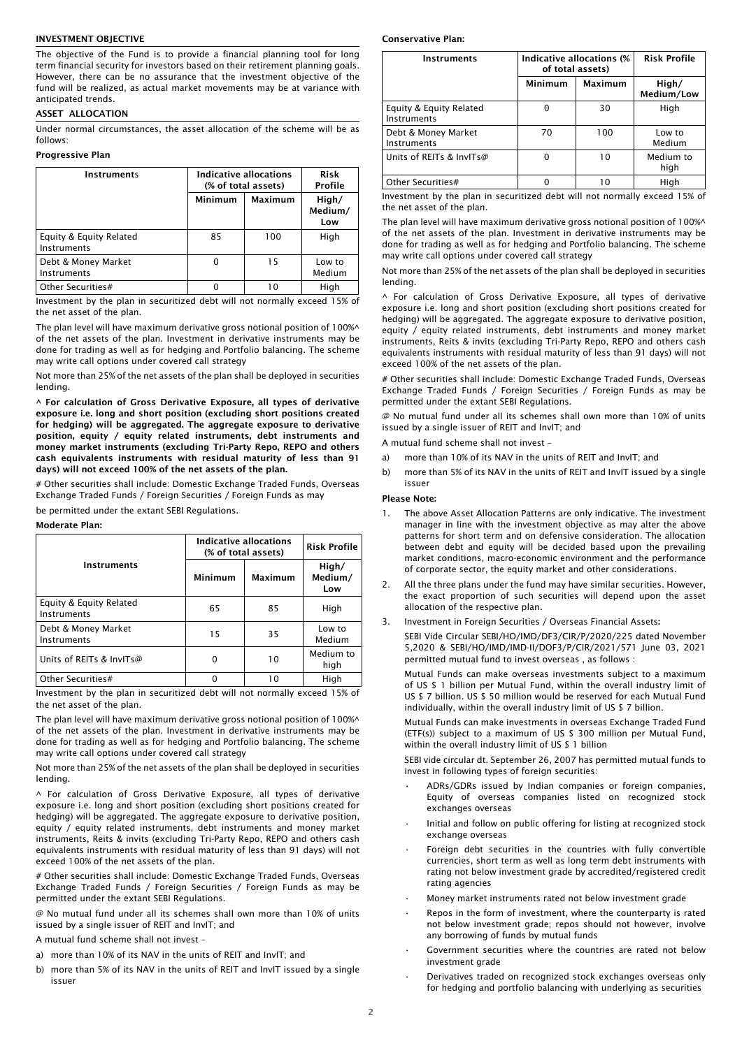#### INVESTMENT OBJECTIVE

The objective of the Fund is to provide a financial planning tool for long term financial security for investors based on their retirement planning goals. However, there can be no assurance that the investment objective of the fund will be realized, as actual market movements may be at variance with anticipated trends.

## ASSET ALLOCATION

Under normal circumstances, the asset allocation of the scheme will be as follows:

# Progressive Plan

| Instruments                            |         | Indicative allocations<br>(% of total assets) |                         |
|----------------------------------------|---------|-----------------------------------------------|-------------------------|
|                                        | Minimum | <b>Maximum</b>                                | High/<br>Medium/<br>Low |
| Equity & Equity Related<br>Instruments | 85      | 100                                           | High                    |
| Debt & Money Market<br>Instruments     | 0       | 15                                            | Low to<br>Medium        |
| Other Securities#                      |         |                                               | Hiah                    |

Investment by the plan in securitized debt will not normally exceed 15% of the net asset of the plan.

The plan level will have maximum derivative gross notional position of 100%^ of the net assets of the plan. Investment in derivative instruments may be done for trading as well as for hedging and Portfolio balancing. The scheme may write call options under covered call strategy

Not more than 25% of the net assets of the plan shall be deployed in securities lending.

^ For calculation of Gross Derivative Exposure, all types of derivative exposure i.e. long and short position (excluding short positions created for hedging) will be aggregated. The aggregate exposure to derivative position, equity / equity related instruments, debt instruments and money market instruments (excluding Tri-Party Repo, REPO and others cash equivalents instruments with residual maturity of less than 91 days) will not exceed 100% of the net assets of the plan.

# Other securities shall include: Domestic Exchange Traded Funds, Overseas Exchange Traded Funds / Foreign Securities / Foreign Funds as may

be permitted under the extant SEBI Regulations.

Moderate Plan:

|                                        | Indicative allocations<br>(% of total assets) |                | <b>Risk Profile</b>     |
|----------------------------------------|-----------------------------------------------|----------------|-------------------------|
| <b>Instruments</b>                     | Minimum                                       | <b>Maximum</b> | High/<br>Medium/<br>Low |
| Equity & Equity Related<br>Instruments | 65                                            | 85             | High                    |
| Debt & Money Market<br>Instruments     | 15                                            | 35             | Low to<br>Medium        |
| Units of REITs & InvITs@               | O                                             | 10             | Medium to<br>high       |
| Other Securities#                      |                                               | 10             | High                    |

Investment by the plan in securitized debt will not normally exceed 15% of the net asset of the plan.

The plan level will have maximum derivative gross notional position of 100%^ of the net assets of the plan. Investment in derivative instruments may be done for trading as well as for hedging and Portfolio balancing. The scheme may write call options under covered call strategy

Not more than 25% of the net assets of the plan shall be deployed in securities lending.

^ For calculation of Gross Derivative Exposure, all types of derivative exposure i.e. long and short position (excluding short positions created for hedging) will be aggregated. The aggregate exposure to derivative position, equity / equity related instruments, debt instruments and money market instruments, Reits & invits (excluding Tri-Party Repo, REPO and others cash equivalents instruments with residual maturity of less than 91 days) will not exceed 100% of the net assets of the plan.

# Other securities shall include: Domestic Exchange Traded Funds, Overseas Exchange Traded Funds / Foreign Securities / Foreign Funds as may be permitted under the extant SEBI Regulations.

@ No mutual fund under all its schemes shall own more than 10% of units issued by a single issuer of REIT and InvIT; and

A mutual fund scheme shall not invest –

a) more than 10% of its NAV in the units of REIT and InvIT; and

b) more than 5% of its NAV in the units of REIT and InvIT issued by a single issuer

#### Conservative Plan:

| <b>Instruments</b>                     | Indicative allocations (%<br>of total assets) |                | <b>Risk Profile</b> |
|----------------------------------------|-----------------------------------------------|----------------|---------------------|
|                                        | Minimum                                       | <b>Maximum</b> | High/<br>Medium/Low |
| Equity & Equity Related<br>Instruments | O                                             | 30             | High                |
| Debt & Money Market<br>Instruments     | 70                                            | 100            | Low to<br>Medium    |
| Units of REITs & InvITs@               | O                                             | 10             | Medium to<br>high   |
| Other Securities#                      |                                               | 10             | High                |

Investment by the plan in securitized debt will not normally exceed 15% of the net asset of the plan.

The plan level will have maximum derivative gross notional position of 100%^ of the net assets of the plan. Investment in derivative instruments may be done for trading as well as for hedging and Portfolio balancing. The scheme may write call options under covered call strategy

Not more than 25% of the net assets of the plan shall be deployed in securities lending.

^ For calculation of Gross Derivative Exposure, all types of derivative exposure i.e. long and short position (excluding short positions created for hedging) will be aggregated. The aggregate exposure to derivative position, equity / equity related instruments, debt instruments and money market instruments, Reits & invits (excluding Tri-Party Repo, REPO and others cash equivalents instruments with residual maturity of less than 91 days) will not exceed 100% of the net assets of the plan.

# Other securities shall include: Domestic Exchange Traded Funds, Overseas Exchange Traded Funds / Foreign Securities / Foreign Funds as may be permitted under the extant SEBI Regulations.

@ No mutual fund under all its schemes shall own more than 10% of units issued by a single issuer of REIT and InvIT; and

A mutual fund scheme shall not invest –

- a) more than 10% of its NAV in the units of REIT and InvIT; and
- b) more than 5% of its NAV in the units of REIT and InvIT issued by a single issuer

#### Please Note:

- 1. The above Asset Allocation Patterns are only indicative. The investment manager in line with the investment objective as may alter the above patterns for short term and on defensive consideration. The allocation between debt and equity will be decided based upon the prevailing market conditions, macro-economic environment and the performance of corporate sector, the equity market and other considerations.
- 2. All the three plans under the fund may have similar securities. However, the exact proportion of such securities will depend upon the asset allocation of the respective plan.
- 3. Investment in Foreign Securities / Overseas Financial Assets:

SEBI Vide Circular SEBI/HO/IMD/DF3/CIR/P/2020/225 dated November 5,2020 & SEBI/HO/IMD/IMD-II/DOF3/P/CIR/2021/571 June 03, 2021 permitted mutual fund to invest overseas , as follows :

Mutual Funds can make overseas investments subject to a maximum of US \$ 1 billion per Mutual Fund, within the overall industry limit of US \$ 7 billion. US \$ 50 million would be reserved for each Mutual Fund individually, within the overall industry limit of US \$ 7 billion.

Mutual Funds can make investments in overseas Exchange Traded Fund (ETF(s)) subject to a maximum of US \$ 300 million per Mutual Fund, within the overall industry limit of US \$ 1 billion

SEBI vide circular dt. September 26, 2007 has permitted mutual funds to invest in following types of foreign securities:

- ADRs/GDRs issued by Indian companies or foreign companies, Equity of overseas companies listed on recognized stock exchanges overseas
- Initial and follow on public offering for listing at recognized stock exchange overseas
- Foreign debt securities in the countries with fully convertible currencies, short term as well as long term debt instruments with rating not below investment grade by accredited/registered credit rating agencies
- Money market instruments rated not below investment grade
- Repos in the form of investment, where the counterparty is rated not below investment grade; repos should not however, involve any borrowing of funds by mutual funds
- Government securities where the countries are rated not below investment grade
- Derivatives traded on recognized stock exchanges overseas only for hedging and portfolio balancing with underlying as securities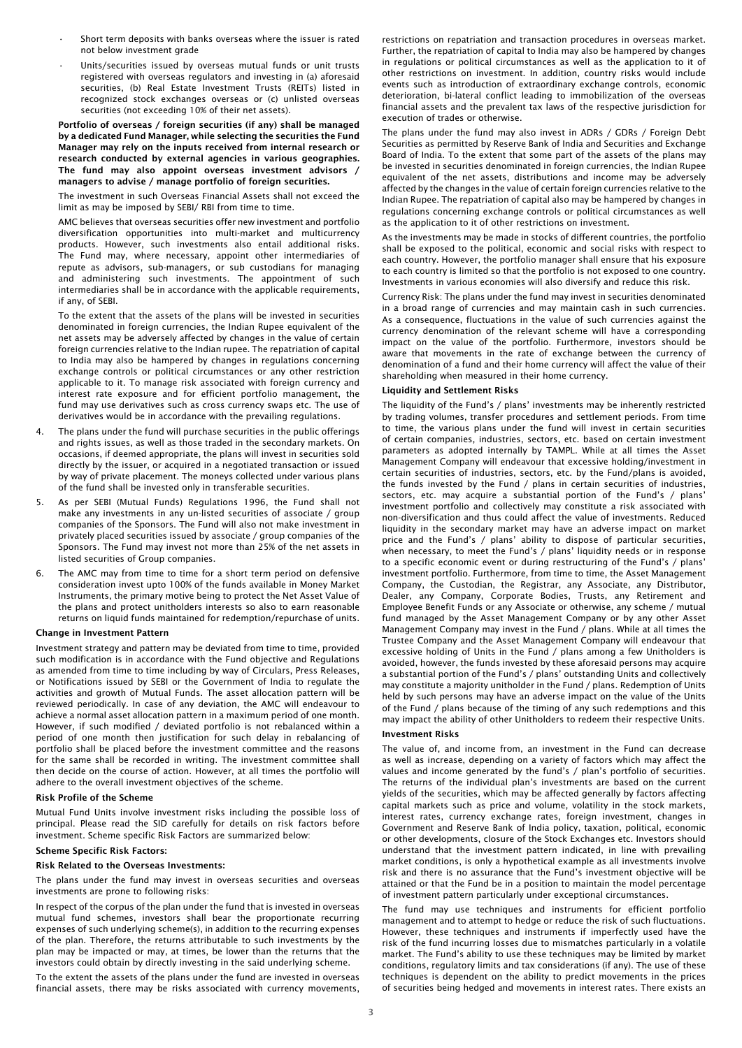- Short term deposits with banks overseas where the issuer is rated not below investment grade
- Units/securities issued by overseas mutual funds or unit trusts registered with overseas regulators and investing in (a) aforesaid securities, (b) Real Estate Investment Trusts (REITs) listed in recognized stock exchanges overseas or (c) unlisted overseas securities (not exceeding 10% of their net assets).

Portfolio of overseas / foreign securities (if any) shall be managed by a dedicated Fund Manager, while selecting the securities the Fund Manager may rely on the inputs received from internal research or research conducted by external agencies in various geographies. The fund may also appoint overseas investment advisors / managers to advise / manage portfolio of foreign securities.

The investment in such Overseas Financial Assets shall not exceed the limit as may be imposed by SEBI/ RBI from time to time.

AMC believes that overseas securities offer new investment and portfolio diversification opportunities into multi-market and multicurrency products. However, such investments also entail additional risks. The Fund may, where necessary, appoint other intermediaries of repute as advisors, sub-managers, or sub custodians for managing and administering such investments. The appointment of such intermediaries shall be in accordance with the applicable requirements, if any, of SEBI.

To the extent that the assets of the plans will be invested in securities denominated in foreign currencies, the Indian Rupee equivalent of the net assets may be adversely affected by changes in the value of certain foreign currencies relative to the Indian rupee. The repatriation of capital to India may also be hampered by changes in regulations concerning exchange controls or political circumstances or any other restriction applicable to it. To manage risk associated with foreign currency and interest rate exposure and for efficient portfolio management, the fund may use derivatives such as cross currency swaps etc. The use of derivatives would be in accordance with the prevailing regulations.

- 4. The plans under the fund will purchase securities in the public offerings and rights issues, as well as those traded in the secondary markets. On occasions, if deemed appropriate, the plans will invest in securities sold directly by the issuer, or acquired in a negotiated transaction or issued by way of private placement. The moneys collected under various plans of the fund shall be invested only in transferable securities.
- As per SEBI (Mutual Funds) Regulations 1996, the Fund shall not make any investments in any un-listed securities of associate / group companies of the Sponsors. The Fund will also not make investment in privately placed securities issued by associate / group companies of the Sponsors. The Fund may invest not more than 25% of the net assets in listed securities of Group companies.
- 6. The AMC may from time to time for a short term period on defensive consideration invest upto 100% of the funds available in Money Market Instruments, the primary motive being to protect the Net Asset Value of the plans and protect unitholders interests so also to earn reasonable returns on liquid funds maintained for redemption/repurchase of units.

#### Change in Investment Pattern

Investment strategy and pattern may be deviated from time to time, provided such modification is in accordance with the Fund objective and Regulations as amended from time to time including by way of Circulars, Press Releases, or Notifications issued by SEBI or the Government of India to regulate the activities and growth of Mutual Funds. The asset allocation pattern will be reviewed periodically. In case of any deviation, the AMC will endeavour to achieve a normal asset allocation pattern in a maximum period of one month. However, if such modified / deviated portfolio is not rebalanced within a period of one month then justification for such delay in rebalancing of portfolio shall be placed before the investment committee and the reasons for the same shall be recorded in writing. The investment committee shall then decide on the course of action. However, at all times the portfolio will adhere to the overall investment objectives of the scheme.

#### Risk Profile of the Scheme

Mutual Fund Units involve investment risks including the possible loss of principal. Please read the SID carefully for details on risk factors before investment. Scheme specific Risk Factors are summarized below:

## Scheme Specific Risk Factors:

## Risk Related to the Overseas Investments:

The plans under the fund may invest in overseas securities and overseas investments are prone to following risks:

In respect of the corpus of the plan under the fund that is invested in overseas mutual fund schemes, investors shall bear the proportionate recurring expenses of such underlying scheme(s), in addition to the recurring expenses of the plan. Therefore, the returns attributable to such investments by the plan may be impacted or may, at times, be lower than the returns that the investors could obtain by directly investing in the said underlying scheme.

To the extent the assets of the plans under the fund are invested in overseas financial assets, there may be risks associated with currency movements, restrictions on repatriation and transaction procedures in overseas market. Further, the repatriation of capital to India may also be hampered by changes in regulations or political circumstances as well as the application to it of other restrictions on investment. In addition, country risks would include events such as introduction of extraordinary exchange controls, economic deterioration, bi-lateral conflict leading to immobilization of the overseas financial assets and the prevalent tax laws of the respective jurisdiction for execution of trades or otherwise.

The plans under the fund may also invest in ADRs / GDRs / Foreign Debt Securities as permitted by Reserve Bank of India and Securities and Exchange Board of India. To the extent that some part of the assets of the plans may be invested in securities denominated in foreign currencies, the Indian Rupee equivalent of the net assets, distributions and income may be adversely affected by the changes in the value of certain foreign currencies relative to the Indian Rupee. The repatriation of capital also may be hampered by changes in regulations concerning exchange controls or political circumstances as well as the application to it of other restrictions on investment.

As the investments may be made in stocks of different countries, the portfolio shall be exposed to the political, economic and social risks with respect to each country. However, the portfolio manager shall ensure that his exposure to each country is limited so that the portfolio is not exposed to one country. Investments in various economies will also diversify and reduce this risk.

Currency Risk: The plans under the fund may invest in securities denominated in a broad range of currencies and may maintain cash in such currencies. As a consequence, fluctuations in the value of such currencies against the currency denomination of the relevant scheme will have a corresponding impact on the value of the portfolio. Furthermore, investors should be aware that movements in the rate of exchange between the currency of denomination of a fund and their home currency will affect the value of their shareholding when measured in their home currency.

### Liquidity and Settlement Risks

The liquidity of the Fund's / plans' investments may be inherently restricted by trading volumes, transfer procedures and settlement periods. From time to time, the various plans under the fund will invest in certain securities of certain companies, industries, sectors, etc. based on certain investment parameters as adopted internally by TAMPL. While at all times the Asset Management Company will endeavour that excessive holding/investment in certain securities of industries, sectors, etc. by the Fund/plans is avoided, the funds invested by the Fund / plans in certain securities of industries, sectors, etc. may acquire a substantial portion of the Fund's / plans' investment portfolio and collectively may constitute a risk associated with non-diversification and thus could affect the value of investments. Reduced liquidity in the secondary market may have an adverse impact on market price and the Fund's / plans' ability to dispose of particular securities, when necessary, to meet the Fund's / plans' liquidity needs or in response to a specific economic event or during restructuring of the Fund's / plans' investment portfolio. Furthermore, from time to time, the Asset Management Company, the Custodian, the Registrar, any Associate, any Distributor, Dealer, any Company, Corporate Bodies, Trusts, any Retirement and Employee Benefit Funds or any Associate or otherwise, any scheme / mutual fund managed by the Asset Management Company or by any other Asset Management Company may invest in the Fund / plans. While at all times the Trustee Company and the Asset Management Company will endeavour that excessive holding of Units in the Fund / plans among a few Unitholders is avoided, however, the funds invested by these aforesaid persons may acquire a substantial portion of the Fund's / plans' outstanding Units and collectively may constitute a majority unitholder in the Fund / plans. Redemption of Units held by such persons may have an adverse impact on the value of the Units of the Fund / plans because of the timing of any such redemptions and this may impact the ability of other Unitholders to redeem their respective Units.

# Investment Risks

The value of, and income from, an investment in the Fund can decrease as well as increase, depending on a variety of factors which may affect the values and income generated by the fund's / plan's portfolio of securities. The returns of the individual plan's investments are based on the current yields of the securities, which may be affected generally by factors affecting capital markets such as price and volume, volatility in the stock markets, interest rates, currency exchange rates, foreign investment, changes in Government and Reserve Bank of India policy, taxation, political, economic or other developments, closure of the Stock Exchanges etc. Investors should understand that the investment pattern indicated, in line with prevailing market conditions, is only a hypothetical example as all investments involve risk and there is no assurance that the Fund's investment objective will be attained or that the Fund be in a position to maintain the model percentage of investment pattern particularly under exceptional circumstances.

The fund may use techniques and instruments for efficient portfolio management and to attempt to hedge or reduce the risk of such fluctuations. However, these techniques and instruments if imperfectly used have the risk of the fund incurring losses due to mismatches particularly in a volatile market. The Fund's ability to use these techniques may be limited by market conditions, regulatory limits and tax considerations (if any). The use of these techniques is dependent on the ability to predict movements in the prices of securities being hedged and movements in interest rates. There exists an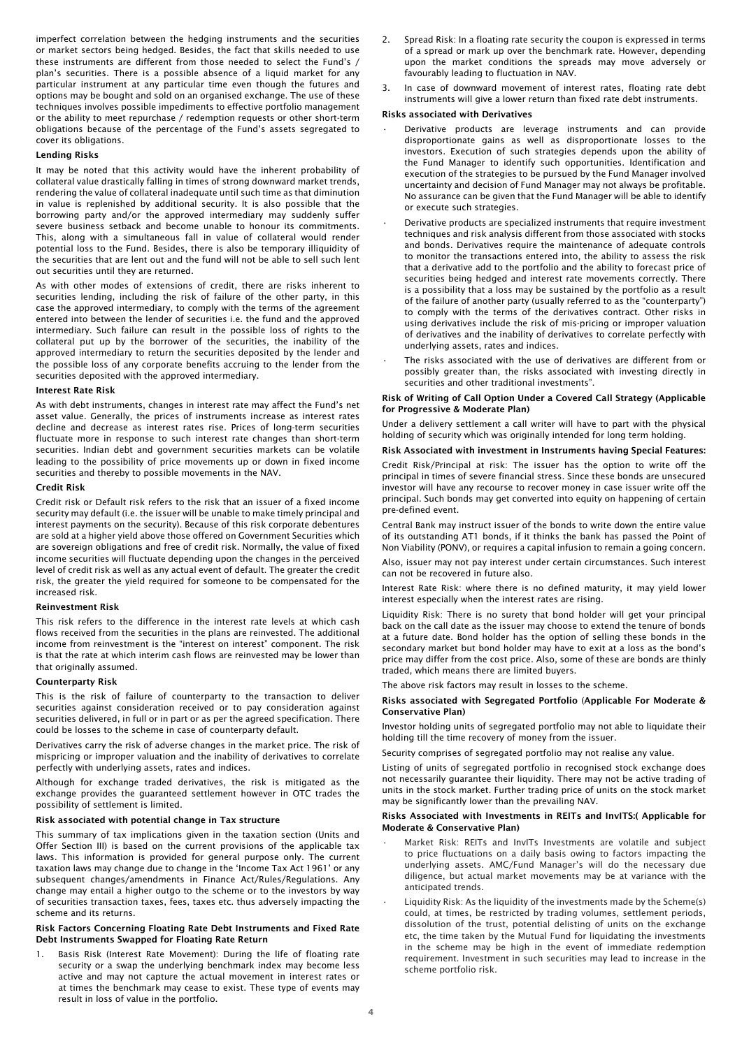imperfect correlation between the hedging instruments and the securities or market sectors being hedged. Besides, the fact that skills needed to use these instruments are different from those needed to select the Fund's / plan's securities. There is a possible absence of a liquid market for any particular instrument at any particular time even though the futures and options may be bought and sold on an organised exchange. The use of these techniques involves possible impediments to effective portfolio management or the ability to meet repurchase / redemption requests or other short-term obligations because of the percentage of the Fund's assets segregated to cover its obligations.

# Lending Risks

It may be noted that this activity would have the inherent probability of collateral value drastically falling in times of strong downward market trends, rendering the value of collateral inadequate until such time as that diminution in value is replenished by additional security. It is also possible that the borrowing party and/or the approved intermediary may suddenly suffer severe business setback and become unable to honour its commitments. This, along with a simultaneous fall in value of collateral would render potential loss to the Fund. Besides, there is also be temporary illiquidity of the securities that are lent out and the fund will not be able to sell such lent out securities until they are returned.

As with other modes of extensions of credit, there are risks inherent to securities lending, including the risk of failure of the other party, in this case the approved intermediary, to comply with the terms of the agreement entered into between the lender of securities i.e. the fund and the approved intermediary. Such failure can result in the possible loss of rights to the collateral put up by the borrower of the securities, the inability of the approved intermediary to return the securities deposited by the lender and the possible loss of any corporate benefits accruing to the lender from the securities deposited with the approved intermediary.

### Interest Rate Risk

As with debt instruments, changes in interest rate may affect the Fund's net asset value. Generally, the prices of instruments increase as interest rates decline and decrease as interest rates rise. Prices of long-term securities fluctuate more in response to such interest rate changes than short-term securities. Indian debt and government securities markets can be volatile leading to the possibility of price movements up or down in fixed income securities and thereby to possible movements in the NAV.

#### Credit Risk

Credit risk or Default risk refers to the risk that an issuer of a fixed income security may default (i.e. the issuer will be unable to make timely principal and interest payments on the security). Because of this risk corporate debentures are sold at a higher yield above those offered on Government Securities which are sovereign obligations and free of credit risk. Normally, the value of fixed income securities will fluctuate depending upon the changes in the perceived level of credit risk as well as any actual event of default. The greater the credit risk, the greater the yield required for someone to be compensated for the increased risk.

#### Reinvestment Risk

This risk refers to the difference in the interest rate levels at which cash flows received from the securities in the plans are reinvested. The additional income from reinvestment is the "interest on interest" component. The risk is that the rate at which interim cash flows are reinvested may be lower than that originally assumed.

#### Counterparty Risk

This is the risk of failure of counterparty to the transaction to deliver securities against consideration received or to pay consideration against securities delivered, in full or in part or as per the agreed specification. There could be losses to the scheme in case of counterparty default.

Derivatives carry the risk of adverse changes in the market price. The risk of mispricing or improper valuation and the inability of derivatives to correlate perfectly with underlying assets, rates and indices.

Although for exchange traded derivatives, the risk is mitigated as the exchange provides the guaranteed settlement however in OTC trades the possibility of settlement is limited.

#### Risk associated with potential change in Tax structure

This summary of tax implications given in the taxation section (Units and Offer Section III) is based on the current provisions of the applicable tax laws. This information is provided for general purpose only. The current taxation laws may change due to change in the 'Income Tax Act 1961' or any subsequent changes/amendments in Finance Act/Rules/Regulations. Any change may entail a higher outgo to the scheme or to the investors by way of securities transaction taxes, fees, taxes etc. thus adversely impacting the scheme and its returns.

#### Risk Factors Concerning Floating Rate Debt Instruments and Fixed Rate Debt Instruments Swapped for Floating Rate Return

1. Basis Risk (Interest Rate Movement): During the life of floating rate security or a swap the underlying benchmark index may become less active and may not capture the actual movement in interest rates or at times the benchmark may cease to exist. These type of events may result in loss of value in the portfolio.

- Spread Risk: In a floating rate security the coupon is expressed in terms of a spread or mark up over the benchmark rate. However, depending upon the market conditions the spreads may move adversely or favourably leading to fluctuation in NAV.
- In case of downward movement of interest rates, floating rate debt instruments will give a lower return than fixed rate debt instruments.

## Risks associated with Derivatives

- Derivative products are leverage instruments and can provide disproportionate gains as well as disproportionate losses to the investors. Execution of such strategies depends upon the ability of the Fund Manager to identify such opportunities. Identification and execution of the strategies to be pursued by the Fund Manager involved uncertainty and decision of Fund Manager may not always be profitable. No assurance can be given that the Fund Manager will be able to identify or execute such strategies.
- Derivative products are specialized instruments that require investment techniques and risk analysis different from those associated with stocks and bonds. Derivatives require the maintenance of adequate controls to monitor the transactions entered into, the ability to assess the risk that a derivative add to the portfolio and the ability to forecast price of securities being hedged and interest rate movements correctly. There is a possibility that a loss may be sustained by the portfolio as a result of the failure of another party (usually referred to as the "counterparty") to comply with the terms of the derivatives contract. Other risks in using derivatives include the risk of mis-pricing or improper valuation of derivatives and the inability of derivatives to correlate perfectly with underlying assets, rates and indices.
- The risks associated with the use of derivatives are different from or possibly greater than, the risks associated with investing directly in securities and other traditional investments".

#### Risk of Writing of Call Option Under a Covered Call Strategy (Applicable for Progressive & Moderate Plan)

Under a delivery settlement a call writer will have to part with the physical holding of security which was originally intended for long term holding.

# Risk Associated with investment in Instruments having Special Features:

Credit Risk/Principal at risk: The issuer has the option to write off the principal in times of severe financial stress. Since these bonds are unsecured investor will have any recourse to recover money in case issuer write off the principal. Such bonds may get converted into equity on happening of certain pre-defined event.

Central Bank may instruct issuer of the bonds to write down the entire value of its outstanding AT1 bonds, if it thinks the bank has passed the Point of Non Viability (PONV), or requires a capital infusion to remain a going concern.

Also, issuer may not pay interest under certain circumstances. Such interest can not be recovered in future also.

Interest Rate Risk: where there is no defined maturity, it may yield lower interest especially when the interest rates are rising.

Liquidity Risk: There is no surety that bond holder will get your principal back on the call date as the issuer may choose to extend the tenure of bonds at a future date. Bond holder has the option of selling these bonds in the secondary market but bond holder may have to exit at a loss as the bond's price may differ from the cost price. Also, some of these are bonds are thinly traded, which means there are limited buyers.

The above risk factors may result in losses to the scheme.

## Risks associated with Segregated Portfolio (Applicable For Moderate & Conservative Plan)

Investor holding units of segregated portfolio may not able to liquidate their holding till the time recovery of money from the issuer.

Security comprises of segregated portfolio may not realise any value.

Listing of units of segregated portfolio in recognised stock exchange does not necessarily guarantee their liquidity. There may not be active trading of units in the stock market. Further trading price of units on the stock market may be significantly lower than the prevailing NAV.

#### Risks Associated with Investments in REITs and InvITS:( Applicable for Moderate & Conservative Plan)

- Market Risk: REITs and InvITs Investments are volatile and subject to price fluctuations on a daily basis owing to factors impacting the underlying assets. AMC/Fund Manager's will do the necessary due diligence, but actual market movements may be at variance with the anticipated trends.
- Liquidity Risk: As the liquidity of the investments made by the Scheme(s) could, at times, be restricted by trading volumes, settlement periods, dissolution of the trust, potential delisting of units on the exchange etc, the time taken by the Mutual Fund for liquidating the investments in the scheme may be high in the event of immediate redemption requirement. Investment in such securities may lead to increase in the scheme portfolio risk.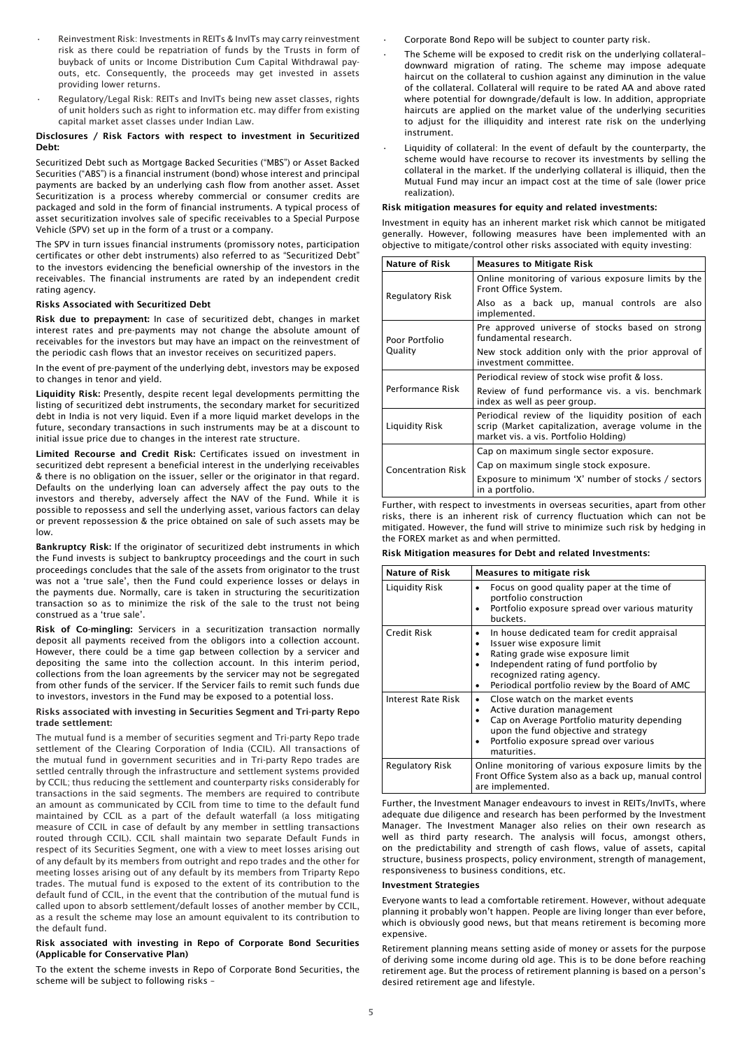- Reinvestment Risk: Investments in REITs & InvITs may carry reinvestment risk as there could be repatriation of funds by the Trusts in form of buyback of units or Income Distribution Cum Capital Withdrawal payouts, etc. Consequently, the proceeds may get invested in assets providing lower returns.
- Regulatory/Legal Risk: REITs and InvITs being new asset classes, rights of unit holders such as right to information etc. may differ from existing capital market asset classes under Indian Law.

## Disclosures / Risk Factors with respect to investment in Securitized Debt:

Securitized Debt such as Mortgage Backed Securities ("MBS") or Asset Backed Securities ("ABS") is a financial instrument (bond) whose interest and principal payments are backed by an underlying cash flow from another asset. Asset Securitization is a process whereby commercial or consumer credits are packaged and sold in the form of financial instruments. A typical process of asset securitization involves sale of specific receivables to a Special Purpose Vehicle (SPV) set up in the form of a trust or a company.

The SPV in turn issues financial instruments (promissory notes, participation certificates or other debt instruments) also referred to as "Securitized Debt" to the investors evidencing the beneficial ownership of the investors in the receivables. The financial instruments are rated by an independent credit rating agency.

# Risks Associated with Securitized Debt

Risk due to prepayment: In case of securitized debt, changes in market interest rates and pre-payments may not change the absolute amount of receivables for the investors but may have an impact on the reinvestment of the periodic cash flows that an investor receives on securitized papers.

In the event of pre-payment of the underlying debt, investors may be exposed to changes in tenor and yield.

Liquidity Risk: Presently, despite recent legal developments permitting the listing of securitized debt instruments, the secondary market for securitized debt in India is not very liquid. Even if a more liquid market develops in the future, secondary transactions in such instruments may be at a discount to initial issue price due to changes in the interest rate structure.

Limited Recourse and Credit Risk: Certificates issued on investment in securitized debt represent a beneficial interest in the underlying receivables & there is no obligation on the issuer, seller or the originator in that regard. Defaults on the underlying loan can adversely affect the pay outs to the investors and thereby, adversely affect the NAV of the Fund. While it is possible to repossess and sell the underlying asset, various factors can delay or prevent repossession & the price obtained on sale of such assets may be low.

Bankruptcy Risk: If the originator of securitized debt instruments in which the Fund invests is subject to bankruptcy proceedings and the court in such proceedings concludes that the sale of the assets from originator to the trust was not a 'true sale', then the Fund could experience losses or delays in the payments due. Normally, care is taken in structuring the securitization transaction so as to minimize the risk of the sale to the trust not being construed as a 'true sale'.

Risk of Co-mingling: Servicers in a securitization transaction normally deposit all payments received from the obligors into a collection account. However, there could be a time gap between collection by a servicer and depositing the same into the collection account. In this interim period, collections from the loan agreements by the servicer may not be segregated from other funds of the servicer. If the Servicer fails to remit such funds due to investors, investors in the Fund may be exposed to a potential loss.

#### Risks associated with investing in Securities Segment and Tri-party Repo trade settlement:

The mutual fund is a member of securities segment and Tri-party Repo trade settlement of the Clearing Corporation of India (CCIL). All transactions of the mutual fund in government securities and in Tri-party Repo trades are settled centrally through the infrastructure and settlement systems provided by CCIL; thus reducing the settlement and counterparty risks considerably for transactions in the said segments. The members are required to contribute an amount as communicated by CCIL from time to time to the default fund maintained by CCIL as a part of the default waterfall (a loss mitigating measure of CCIL in case of default by any member in settling transactions routed through CCIL). CCIL shall maintain two separate Default Funds in respect of its Securities Segment, one with a view to meet losses arising out of any default by its members from outright and repo trades and the other for meeting losses arising out of any default by its members from Triparty Repo trades. The mutual fund is exposed to the extent of its contribution to the default fund of CCIL, in the event that the contribution of the mutual fund is called upon to absorb settlement/default losses of another member by CCIL, as a result the scheme may lose an amount equivalent to its contribution to the default fund.

#### Risk associated with investing in Repo of Corporate Bond Securities (Applicable for Conservative Plan)

To the extent the scheme invests in Repo of Corporate Bond Securities, the scheme will be subject to following risks –

• Corporate Bond Repo will be subject to counter party risk.

- The Scheme will be exposed to credit risk on the underlying collateraldownward migration of rating. The scheme may impose adequate haircut on the collateral to cushion against any diminution in the value of the collateral. Collateral will require to be rated AA and above rated where potential for downgrade/default is low. In addition, appropriate haircuts are applied on the market value of the underlying securities to adjust for the illiquidity and interest rate risk on the underlying instrument.
- Liquidity of collateral: In the event of default by the counterparty, the scheme would have recourse to recover its investments by selling the collateral in the market. If the underlying collateral is illiquid, then the Mutual Fund may incur an impact cost at the time of sale (lower price realization).

#### Risk mitigation measures for equity and related investments:

Investment in equity has an inherent market risk which cannot be mitigated generally. However, following measures have been implemented with an objective to mitigate/control other risks associated with equity investing:

| <b>Nature of Risk</b>     | <b>Measures to Mitigate Risk</b>                                                                                                                    |  |
|---------------------------|-----------------------------------------------------------------------------------------------------------------------------------------------------|--|
| <b>Regulatory Risk</b>    | Online monitoring of various exposure limits by the<br>Front Office System.                                                                         |  |
|                           | Also as a back up, manual controls are also<br>implemented.                                                                                         |  |
| Poor Portfolio            | Pre approved universe of stocks based on strong<br>fundamental research.                                                                            |  |
| Quality                   | New stock addition only with the prior approval of<br>investment committee.                                                                         |  |
|                           | Periodical review of stock wise profit & loss.                                                                                                      |  |
| Performance Risk          | Review of fund performance vis. a vis. benchmark<br>index as well as peer group.                                                                    |  |
| <b>Liquidity Risk</b>     | Periodical review of the liquidity position of each<br>scrip (Market capitalization, average volume in the<br>market vis. a vis. Portfolio Holding) |  |
|                           | Cap on maximum single sector exposure.                                                                                                              |  |
| <b>Concentration Risk</b> | Cap on maximum single stock exposure.                                                                                                               |  |
|                           | Exposure to minimum 'X' number of stocks / sectors<br>in a portfolio.                                                                               |  |

Further, with respect to investments in overseas securities, apart from other risks, there is an inherent risk of currency fluctuation which can not be mitigated. However, the fund will strive to minimize such risk by hedging in the FOREX market as and when permitted.

# Risk Mitigation measures for Debt and related Investments:

| Nature of Risk     | Measures to mitigate risk                                                                                                                                                                                                                 |
|--------------------|-------------------------------------------------------------------------------------------------------------------------------------------------------------------------------------------------------------------------------------------|
| Liquidity Risk     | Focus on good quality paper at the time of<br>portfolio construction<br>Portfolio exposure spread over various maturity<br>buckets.                                                                                                       |
| <b>Credit Risk</b> | In house dedicated team for credit appraisal<br>Issuer wise exposure limit<br>Rating grade wise exposure limit<br>Independent rating of fund portfolio by<br>recognized rating agency.<br>Periodical portfolio review by the Board of AMC |
| Interest Rate Risk | Close watch on the market events<br>Active duration management<br>Cap on Average Portfolio maturity depending<br>upon the fund objective and strategy<br>Portfolio exposure spread over various<br>maturities.                            |
| Regulatory Risk    | Online monitoring of various exposure limits by the<br>Front Office System also as a back up, manual control<br>are implemented.                                                                                                          |

Further, the Investment Manager endeavours to invest in REITs/InvITs, where adequate due diligence and research has been performed by the Investment Manager. The Investment Manager also relies on their own research as well as third party research. The analysis will focus, amongst others, on the predictability and strength of cash flows, value of assets, capital structure, business prospects, policy environment, strength of management, responsiveness to business conditions, etc.

#### Investment Strategies

Everyone wants to lead a comfortable retirement. However, without adequate planning it probably won't happen. People are living longer than ever before, which is obviously good news, but that means retirement is becoming more expensive.

Retirement planning means setting aside of money or assets for the purpose of deriving some income during old age. This is to be done before reaching retirement age. But the process of retirement planning is based on a person's desired retirement age and lifestyle.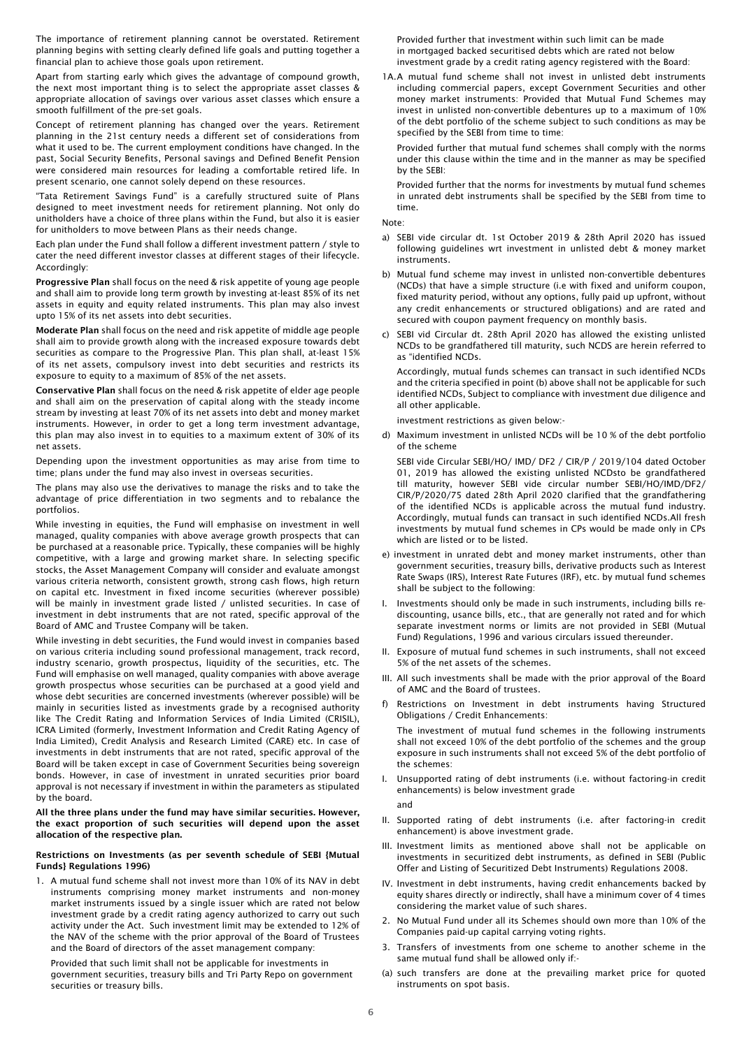The importance of retirement planning cannot be overstated. Retirement planning begins with setting clearly defined life goals and putting together a financial plan to achieve those goals upon retirement.

Apart from starting early which gives the advantage of compound growth, the next most important thing is to select the appropriate asset classes & appropriate allocation of savings over various asset classes which ensure a smooth fulfillment of the pre-set goals.

Concept of retirement planning has changed over the years. Retirement planning in the 21st century needs a different set of considerations from what it used to be. The current employment conditions have changed. In the past, Social Security Benefits, Personal savings and Defined Benefit Pension were considered main resources for leading a comfortable retired life. In present scenario, one cannot solely depend on these resources.

"Tata Retirement Savings Fund" is a carefully structured suite of Plans designed to meet investment needs for retirement planning. Not only do unitholders have a choice of three plans within the Fund, but also it is easier for unitholders to move between Plans as their needs change.

Each plan under the Fund shall follow a different investment pattern / style to cater the need different investor classes at different stages of their lifecycle. Accordingly:

Progressive Plan shall focus on the need & risk appetite of young age people and shall aim to provide long term growth by investing at-least 85% of its net assets in equity and equity related instruments. This plan may also invest upto 15% of its net assets into debt securities.

Moderate Plan shall focus on the need and risk appetite of middle age people shall aim to provide growth along with the increased exposure towards debt securities as compare to the Progressive Plan. This plan shall, at-least 15% of its net assets, compulsory invest into debt securities and restricts its exposure to equity to a maximum of 85% of the net assets.

Conservative Plan shall focus on the need & risk appetite of elder age people and shall aim on the preservation of capital along with the steady income stream by investing at least 70% of its net assets into debt and money market instruments. However, in order to get a long term investment advantage, this plan may also invest in to equities to a maximum extent of 30% of its net assets.

Depending upon the investment opportunities as may arise from time to time; plans under the fund may also invest in overseas securities.

The plans may also use the derivatives to manage the risks and to take the advantage of price differentiation in two segments and to rebalance the portfolios.

While investing in equities, the Fund will emphasise on investment in well managed, quality companies with above average growth prospects that can be purchased at a reasonable price. Typically, these companies will be highly competitive, with a large and growing market share. In selecting specific stocks, the Asset Management Company will consider and evaluate amongst various criteria networth, consistent growth, strong cash flows, high return on capital etc. Investment in fixed income securities (wherever possible) will be mainly in investment grade listed / unlisted securities. In case of investment in debt instruments that are not rated, specific approval of the Board of AMC and Trustee Company will be taken.

While investing in debt securities, the Fund would invest in companies based on various criteria including sound professional management, track record, industry scenario, growth prospectus, liquidity of the securities, etc. The Fund will emphasise on well managed, quality companies with above average growth prospectus whose securities can be purchased at a good yield and whose debt securities are concerned investments (wherever possible) will be mainly in securities listed as investments grade by a recognised authority like The Credit Rating and Information Services of India Limited (CRISIL), ICRA Limited (formerly, Investment Information and Credit Rating Agency of India Limited), Credit Analysis and Research Limited (CARE) etc. In case of investments in debt instruments that are not rated, specific approval of the Board will be taken except in case of Government Securities being sovereign bonds. However, in case of investment in unrated securities prior board approval is not necessary if investment in within the parameters as stipulated by the board.

#### All the three plans under the fund may have similar securities. However, the exact proportion of such securities will depend upon the asset allocation of the respective plan.

#### Restrictions on Investments (as per seventh schedule of SEBI {Mutual Funds} Regulations 1996)

1. A mutual fund scheme shall not invest more than 10% of its NAV in debt instruments comprising money market instruments and non-money market instruments issued by a single issuer which are rated not below investment grade by a credit rating agency authorized to carry out such activity under the Act. Such investment limit may be extended to 12% of the NAV of the scheme with the prior approval of the Board of Trustees and the Board of directors of the asset management company:

Provided that such limit shall not be applicable for investments in government securities, treasury bills and Tri Party Repo on government securities or treasury bills.

Provided further that investment within such limit can be made in mortgaged backed securitised debts which are rated not below investment grade by a credit rating agency registered with the Board:

1A.A mutual fund scheme shall not invest in unlisted debt instruments including commercial papers, except Government Securities and other money market instruments: Provided that Mutual Fund Schemes may invest in unlisted non-convertible debentures up to a maximum of 10% of the debt portfolio of the scheme subject to such conditions as may be specified by the SEBI from time to time:

Provided further that mutual fund schemes shall comply with the norms under this clause within the time and in the manner as may be specified by the SEBI:

Provided further that the norms for investments by mutual fund schemes in unrated debt instruments shall be specified by the SEBI from time to time.

Note:

- a) SEBI vide circular dt. 1st October 2019 & 28th April 2020 has issued following guidelines wrt investment in unlisted debt & money market instruments.
- b) Mutual fund scheme may invest in unlisted non-convertible debentures (NCDs) that have a simple structure (i.e with fixed and uniform coupon, fixed maturity period, without any options, fully paid up upfront, without any credit enhancements or structured obligations) and are rated and secured with coupon payment frequency on monthly basis.
- c) SEBI vid Circular dt. 28th April 2020 has allowed the existing unlisted NCDs to be grandfathered till maturity, such NCDS are herein referred to as "identified NCDs.

Accordingly, mutual funds schemes can transact in such identified NCDs and the criteria specified in point (b) above shall not be applicable for such identified NCDs, Subject to compliance with investment due diligence and all other applicable.

investment restrictions as given below:-

d) Maximum investment in unlisted NCDs will be 10 % of the debt portfolio of the scheme

SEBI vide Circular SEBI/HO/ IMD/ DF2 / CIR/P / 2019/104 dated October 01, 2019 has allowed the existing unlisted NCDsto be grandfathered till maturity, however SEBI vide circular number SEBI/HO/IMD/DF2/ CIR/P/2020/75 dated 28th April 2020 clarified that the grandfathering of the identified NCDs is applicable across the mutual fund industry. Accordingly, mutual funds can transact in such identified NCDs.All fresh investments by mutual fund schemes in CPs would be made only in CPs which are listed or to be listed.

- e) investment in unrated debt and money market instruments, other than government securities, treasury bills, derivative products such as Interest Rate Swaps (IRS), Interest Rate Futures (IRF), etc. by mutual fund schemes shall be subject to the following:
- I. Investments should only be made in such instruments, including bills rediscounting, usance bills, etc., that are generally not rated and for which separate investment norms or limits are not provided in SEBI (Mutual Fund) Regulations, 1996 and various circulars issued thereunder.
- II. Exposure of mutual fund schemes in such instruments, shall not exceed 5% of the net assets of the schemes.
- III. All such investments shall be made with the prior approval of the Board of AMC and the Board of trustees.
- f) Restrictions on Investment in debt instruments having Structured Obligations / Credit Enhancements:

The investment of mutual fund schemes in the following instruments shall not exceed 10% of the debt portfolio of the schemes and the group exposure in such instruments shall not exceed 5% of the debt portfolio of the schemes:

- I. Unsupported rating of debt instruments (i.e. without factoring-in credit enhancements) is below investment grade
- and
- II. Supported rating of debt instruments (i.e. after factoring-in credit enhancement) is above investment grade.
- III. Investment limits as mentioned above shall not be applicable on investments in securitized debt instruments, as defined in SEBI (Public Offer and Listing of Securitized Debt Instruments) Regulations 2008.
- IV. Investment in debt instruments, having credit enhancements backed by equity shares directly or indirectly, shall have a minimum cover of 4 times considering the market value of such shares.
- 2. No Mutual Fund under all its Schemes should own more than 10% of the Companies paid-up capital carrying voting rights.
- 3. Transfers of investments from one scheme to another scheme in the same mutual fund shall be allowed only if:-
- (a) such transfers are done at the prevailing market price for quoted instruments on spot basis.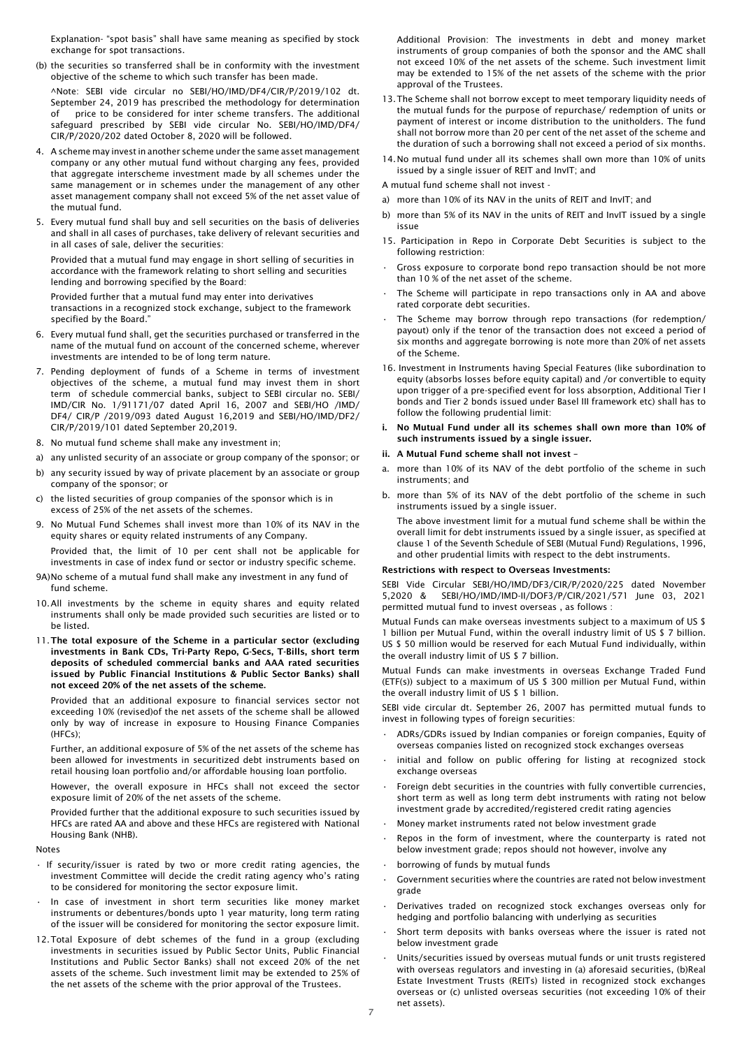Explanation- "spot basis" shall have same meaning as specified by stock exchange for spot transactions.

(b) the securities so transferred shall be in conformity with the investment objective of the scheme to which such transfer has been made.

^Note: SEBI vide circular no SEBI/HO/IMD/DF4/CIR/P/2019/102 dt. September 24, 2019 has prescribed the methodology for determination of price to be considered for inter scheme transfers. The additional safeguard prescribed by SEBI vide circular No. SEBI/HO/IMD/DF4/ CIR/P/2020/202 dated October 8, 2020 will be followed.

- 4. A scheme may invest in another scheme under the same asset management company or any other mutual fund without charging any fees, provided that aggregate interscheme investment made by all schemes under the same management or in schemes under the management of any other asset management company shall not exceed 5% of the net asset value of the mutual fund.
- 5. Every mutual fund shall buy and sell securities on the basis of deliveries and shall in all cases of purchases, take delivery of relevant securities and in all cases of sale, deliver the securities:

Provided that a mutual fund may engage in short selling of securities in accordance with the framework relating to short selling and securities lending and borrowing specified by the Board:

Provided further that a mutual fund may enter into derivatives transactions in a recognized stock exchange, subject to the framework specified by the Board."

- 6. Every mutual fund shall, get the securities purchased or transferred in the name of the mutual fund on account of the concerned scheme, wherever investments are intended to be of long term nature.
- 7. Pending deployment of funds of a Scheme in terms of investment objectives of the scheme, a mutual fund may invest them in short term of schedule commercial banks, subject to SEBI circular no. SEBI/ IMD/CIR No. 1/91171/07 dated April 16, 2007 and SEBI/HO /IMD/ DF4/ CIR/P /2019/093 dated August 16,2019 and SEBI/HO/IMD/DF2/ CIR/P/2019/101 dated September 20,2019.
- 8. No mutual fund scheme shall make any investment in;
- a) any unlisted security of an associate or group company of the sponsor; or
- b) any security issued by way of private placement by an associate or group company of the sponsor; or
- c) the listed securities of group companies of the sponsor which is in excess of 25% of the net assets of the schemes.
- 9. No Mutual Fund Schemes shall invest more than 10% of its NAV in the equity shares or equity related instruments of any Company.

Provided that, the limit of 10 per cent shall not be applicable for investments in case of index fund or sector or industry specific scheme.

- 9A)No scheme of a mutual fund shall make any investment in any fund of fund scheme.
- 10.All investments by the scheme in equity shares and equity related instruments shall only be made provided such securities are listed or to be listed.
- 11.The total exposure of the Scheme in a particular sector (excluding investments in Bank CDs, Tri-Party Repo, G-Secs, T-Bills, short term deposits of scheduled commercial banks and AAA rated securities issued by Public Financial Institutions & Public Sector Banks) shall not exceed 20% of the net assets of the scheme.

Provided that an additional exposure to financial services sector not exceeding 10% (revised)of the net assets of the scheme shall be allowed only by way of increase in exposure to Housing Finance Companies (HFCs);

Further, an additional exposure of 5% of the net assets of the scheme has been allowed for investments in securitized debt instruments based on retail housing loan portfolio and/or affordable housing loan portfolio.

However, the overall exposure in HFCs shall not exceed the sector exposure limit of 20% of the net assets of the scheme.

Provided further that the additional exposure to such securities issued by HFCs are rated AA and above and these HFCs are registered with National Housing Bank (NHB).

Notes

- If security/issuer is rated by two or more credit rating agencies, the investment Committee will decide the credit rating agency who's rating to be considered for monitoring the sector exposure limit.
- In case of investment in short term securities like money market instruments or debentures/bonds upto 1 year maturity, long term rating of the issuer will be considered for monitoring the sector exposure limit.
- 12.Total Exposure of debt schemes of the fund in a group (excluding investments in securities issued by Public Sector Units, Public Financial Institutions and Public Sector Banks) shall not exceed 20% of the net assets of the scheme. Such investment limit may be extended to 25% of the net assets of the scheme with the prior approval of the Trustees.

Additional Provision: The investments in debt and money market instruments of group companies of both the sponsor and the AMC shall not exceed 10% of the net assets of the scheme. Such investment limit may be extended to 15% of the net assets of the scheme with the prior approval of the Trustees.

- 13.The Scheme shall not borrow except to meet temporary liquidity needs of the mutual funds for the purpose of repurchase/ redemption of units or payment of interest or income distribution to the unitholders. The fund shall not borrow more than 20 per cent of the net asset of the scheme and the duration of such a borrowing shall not exceed a period of six months.
- 14.No mutual fund under all its schemes shall own more than 10% of units issued by a single issuer of REIT and InvIT; and

A mutual fund scheme shall not invest -

- a) more than 10% of its NAV in the units of REIT and InvIT; and
- b) more than 5% of its NAV in the units of REIT and InvIT issued by a single issue
- 15. Participation in Repo in Corporate Debt Securities is subject to the following restriction:
- Gross exposure to corporate bond repo transaction should be not more than 10 % of the net asset of the scheme.
- The Scheme will participate in repo transactions only in AA and above rated corporate debt securities.
- The Scheme may borrow through repo transactions (for redemption/ payout) only if the tenor of the transaction does not exceed a period of six months and aggregate borrowing is note more than 20% of net assets of the Scheme.
- 16. Investment in Instruments having Special Features (like subordination to equity (absorbs losses before equity capital) and /or convertible to equity upon trigger of a pre-specified event for loss absorption, Additional Tier I bonds and Tier 2 bonds issued under Basel III framework etc) shall has to follow the following prudential limit:
- i. No Mutual Fund under all its schemes shall own more than 10% of such instruments issued by a single issuer.

## ii. A Mutual Fund scheme shall not invest

- a. more than 10% of its NAV of the debt portfolio of the scheme in such instruments; and
- b. more than 5% of its NAV of the debt portfolio of the scheme in such instruments issued by a single issuer.
	- The above investment limit for a mutual fund scheme shall be within the overall limit for debt instruments issued by a single issuer, as specified at clause 1 of the Seventh Schedule of SEBI (Mutual Fund) Regulations, 1996, and other prudential limits with respect to the debt instruments.

# Restrictions with respect to Overseas Investments:

SEBI Vide Circular SEBI/HO/IMD/DF3/CIR/P/2020/225 dated November 5,2020 & SEBI/HO/IMD/IMD-II/DOF3/P/CIR/2021/571 June 03, 2021 permitted mutual fund to invest overseas , as follows :

Mutual Funds can make overseas investments subject to a maximum of US \$ 1 billion per Mutual Fund, within the overall industry limit of US \$ 7 billion. US \$ 50 million would be reserved for each Mutual Fund individually, within the overall industry limit of US \$ 7 billion.

Mutual Funds can make investments in overseas Exchange Traded Fund (ETF(s)) subject to a maximum of US \$ 300 million per Mutual Fund, within the overall industry limit of US \$ 1 billion.

SEBI vide circular dt. September 26, 2007 has permitted mutual funds to invest in following types of foreign securities:

- ADRs/GDRs issued by Indian companies or foreign companies, Equity of overseas companies listed on recognized stock exchanges overseas
- initial and follow on public offering for listing at recognized stock exchange overseas
- Foreign debt securities in the countries with fully convertible currencies, short term as well as long term debt instruments with rating not below investment grade by accredited/registered credit rating agencies
- Money market instruments rated not below investment grade
- Repos in the form of investment, where the counterparty is rated not below investment grade; repos should not however, involve any
- borrowing of funds by mutual funds
- Government securities where the countries are rated not below investment grade
- Derivatives traded on recognized stock exchanges overseas only for hedging and portfolio balancing with underlying as securities
- Short term deposits with banks overseas where the issuer is rated not below investment grade
- Units/securities issued by overseas mutual funds or unit trusts registered with overseas regulators and investing in (a) aforesaid securities, (b)Real Estate Investment Trusts (REITs) listed in recognized stock exchanges overseas or (c) unlisted overseas securities (not exceeding 10% of their net assets).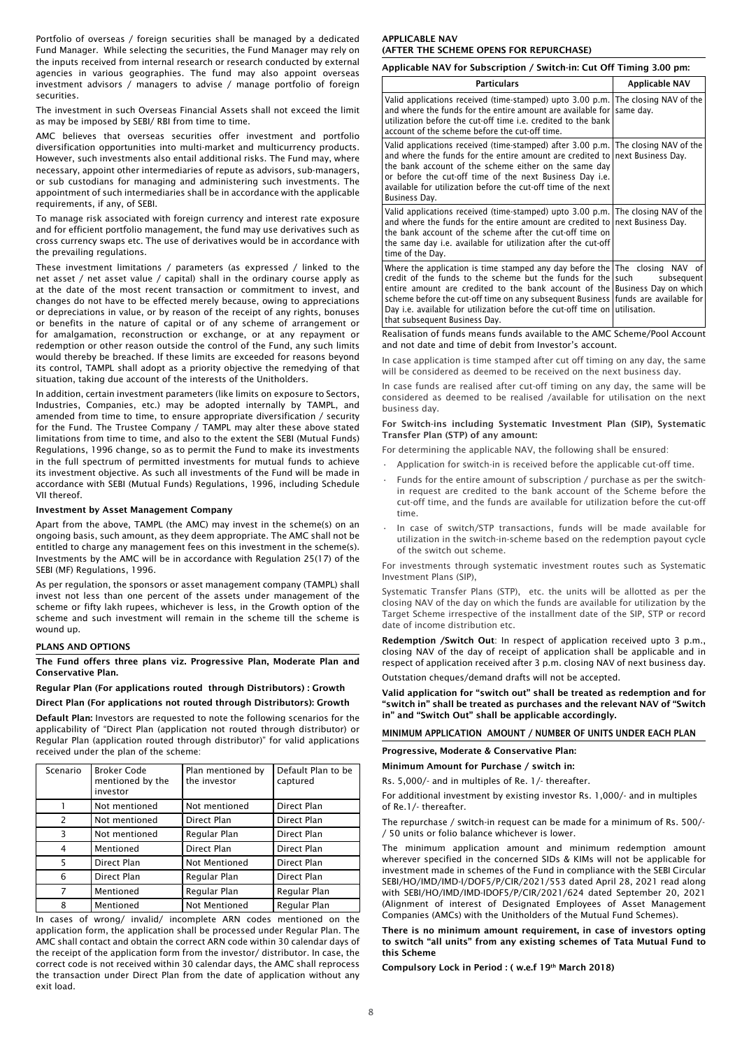Portfolio of overseas / foreign securities shall be managed by a dedicated Fund Manager. While selecting the securities, the Fund Manager may rely on the inputs received from internal research or research conducted by external agencies in various geographies. The fund may also appoint overseas investment advisors / managers to advise / manage portfolio of foreign securities.

The investment in such Overseas Financial Assets shall not exceed the limit as may be imposed by SEBI/ RBI from time to time.

AMC believes that overseas securities offer investment and portfolio diversification opportunities into multi-market and multicurrency products. However, such investments also entail additional risks. The Fund may, where necessary, appoint other intermediaries of repute as advisors, sub-managers, or sub custodians for managing and administering such investments. The appointment of such intermediaries shall be in accordance with the applicable requirements, if any, of SEBI.

To manage risk associated with foreign currency and interest rate exposure and for efficient portfolio management, the fund may use derivatives such as cross currency swaps etc. The use of derivatives would be in accordance with the prevailing regulations.

These investment limitations / parameters (as expressed / linked to the net asset / net asset value / capital) shall in the ordinary course apply as at the date of the most recent transaction or commitment to invest, and changes do not have to be effected merely because, owing to appreciations or depreciations in value, or by reason of the receipt of any rights, bonuses or benefits in the nature of capital or of any scheme of arrangement or for amalgamation, reconstruction or exchange, or at any repayment or redemption or other reason outside the control of the Fund, any such limits would thereby be breached. If these limits are exceeded for reasons beyond its control, TAMPL shall adopt as a priority objective the remedying of that situation, taking due account of the interests of the Unitholders.

In addition, certain investment parameters (like limits on exposure to Sectors, Industries, Companies, etc.) may be adopted internally by TAMPL, and amended from time to time, to ensure appropriate diversification / security for the Fund. The Trustee Company / TAMPL may alter these above stated limitations from time to time, and also to the extent the SEBI (Mutual Funds) Regulations, 1996 change, so as to permit the Fund to make its investments in the full spectrum of permitted investments for mutual funds to achieve its investment objective. As such all investments of the Fund will be made in accordance with SEBI (Mutual Funds) Regulations, 1996, including Schedule VII thereof.

#### Investment by Asset Management Company

Apart from the above, TAMPL (the AMC) may invest in the scheme(s) on an ongoing basis, such amount, as they deem appropriate. The AMC shall not be entitled to charge any management fees on this investment in the scheme(s). Investments by the AMC will be in accordance with Regulation 25(17) of the SEBI (MF) Regulations, 1996.

As per regulation, the sponsors or asset management company (TAMPL) shall invest not less than one percent of the assets under management of the scheme or fifty lakh rupees, whichever is less, in the Growth option of the scheme and such investment will remain in the scheme till the scheme is wound up.

## PLANS AND OPTIONS

The Fund offers three plans viz. Progressive Plan, Moderate Plan and Conservative Plan.

## Regular Plan (For applications routed through Distributors) : Growth

Direct Plan (For applications not routed through Distributors): Growth

Default Plan: Investors are requested to note the following scenarios for the applicability of "Direct Plan (application not routed through distributor) or Regular Plan (application routed through distributor)" for valid applications received under the plan of the scheme:

| Scenario | <b>Broker Code</b><br>mentioned by the<br>investor | Plan mentioned by<br>the investor | Default Plan to be<br>captured |
|----------|----------------------------------------------------|-----------------------------------|--------------------------------|
|          | Not mentioned                                      | Not mentioned                     | Direct Plan                    |
| 2        | Not mentioned                                      | Direct Plan                       | Direct Plan                    |
| 3        | Not mentioned                                      | Regular Plan                      | Direct Plan                    |
| 4        | Mentioned                                          | Direct Plan                       | Direct Plan                    |
| 5        | Direct Plan                                        | Not Mentioned                     | Direct Plan                    |
| 6        | Direct Plan                                        | Regular Plan                      | Direct Plan                    |
| 7        | Mentioned                                          | Regular Plan                      | Regular Plan                   |
| 8        | Mentioned                                          | Not Mentioned                     | Regular Plan                   |

In cases of wrong/ invalid/ incomplete ARN codes mentioned on the application form, the application shall be processed under Regular Plan. The AMC shall contact and obtain the correct ARN code within 30 calendar days of the receipt of the application form from the investor/ distributor. In case, the correct code is not received within 30 calendar days, the AMC shall reprocess the transaction under Direct Plan from the date of application without any exit load.

## APPLICABLE NAV (AFTER THE SCHEME OPENS FOR REPURCHASE)

Applicable NAV for Subscription / Switch-in: Cut Off Timing 3.00 pm:

| <b>Particulars</b>                                                                                                                                                                                                                                                                                                                                                                                                             | Applicable NAV |
|--------------------------------------------------------------------------------------------------------------------------------------------------------------------------------------------------------------------------------------------------------------------------------------------------------------------------------------------------------------------------------------------------------------------------------|----------------|
| Valid applications received (time-stamped) upto 3.00 p.m. The closing NAV of the<br>and where the funds for the entire amount are available for   same day.<br>utilization before the cut-off time i.e. credited to the bank<br>account of the scheme before the cut-off time.                                                                                                                                                 |                |
| Valid applications received (time-stamped) after 3.00 p.m. The closing NAV of the<br>and where the funds for the entire amount are credited to   next Business Day.<br>the bank account of the scheme either on the same day<br>or before the cut-off time of the next Business Day i.e.<br>available for utilization before the cut-off time of the next<br><b>Business Day.</b>                                              |                |
| Valid applications received (time-stamped) upto 3.00 p.m. The closing NAV of the<br>and where the funds for the entire amount are credited to next Business Day.<br>the bank account of the scheme after the cut-off time on<br>the same day i.e. available for utilization after the cut-off<br>time of the Day.                                                                                                              |                |
| Where the application is time stamped any day before the The closing NAV of<br>credit of the funds to the scheme but the funds for the such<br>entire amount are credited to the bank account of the Business Day on which<br>scheme before the cut-off time on any subsequent Business funds are available for<br>Day i.e. available for utilization before the cut-off time on utilisation.<br>that subsequent Business Day. | subsequent     |

Realisation of funds means funds available to the AMC Scheme/Pool Account and not date and time of debit from Investor's account.

In case application is time stamped after cut off timing on any day, the same will be considered as deemed to be received on the next business day.

In case funds are realised after cut-off timing on any day, the same will be considered as deemed to be realised /available for utilisation on the next business day.

For Switch-ins including Systematic Investment Plan (SIP), Systematic Transfer Plan (STP) of any amount:

For determining the applicable NAV, the following shall be ensured:

- Application for switch-in is received before the applicable cut-off time.
- Funds for the entire amount of subscription / purchase as per the switchin request are credited to the bank account of the Scheme before the cut-off time, and the funds are available for utilization before the cut-off time.
- In case of switch/STP transactions, funds will be made available for utilization in the switch-in-scheme based on the redemption payout cycle of the switch out scheme.

For investments through systematic investment routes such as Systematic Investment Plans (SIP),

Systematic Transfer Plans (STP), etc. the units will be allotted as per the closing NAV of the day on which the funds are available for utilization by the Target Scheme irrespective of the installment date of the SIP, STP or record date of income distribution etc.

Redemption /Switch Out: In respect of application received upto 3 p.m., closing NAV of the day of receipt of application shall be applicable and in respect of application received after 3 p.m. closing NAV of next business day. Outstation cheques/demand drafts will not be accepted.

Valid application for "switch out" shall be treated as redemption and for "switch in" shall be treated as purchases and the relevant NAV of "Switch in" and "Switch Out" shall be applicable accordingly.

MINIMUM APPLICATION AMOUNT / NUMBER OF UNITS UNDER EACH PLAN

Progressive, Moderate & Conservative Plan:

Minimum Amount for Purchase / switch in:

Rs. 5,000/- and in multiples of Re. 1/- thereafter.

For additional investment by existing investor Rs. 1,000/- and in multiples of Re.1/- thereafter.

The repurchase / switch-in request can be made for a minimum of Rs. 500/- / 50 units or folio balance whichever is lower.

The minimum application amount and minimum redemption amount wherever specified in the concerned SIDs & KIMs will not be applicable for investment made in schemes of the Fund in compliance with the SEBI Circular SEBI/HO/IMD/IMD-I/DOF5/P/CIR/2021/553 dated April 28, 2021 read along with SEBI/HO/IMD/IMD-IDOF5/P/CIR/2021/624 dated September 20, 2021 (Alignment of interest of Designated Employees of Asset Management Companies (AMCs) with the Unitholders of the Mutual Fund Schemes).

There is no minimum amount requirement, in case of investors opting to switch "all units" from any existing schemes of Tata Mutual Fund to this Scheme

Compulsory Lock in Period : (w.e.f 19th March 2018)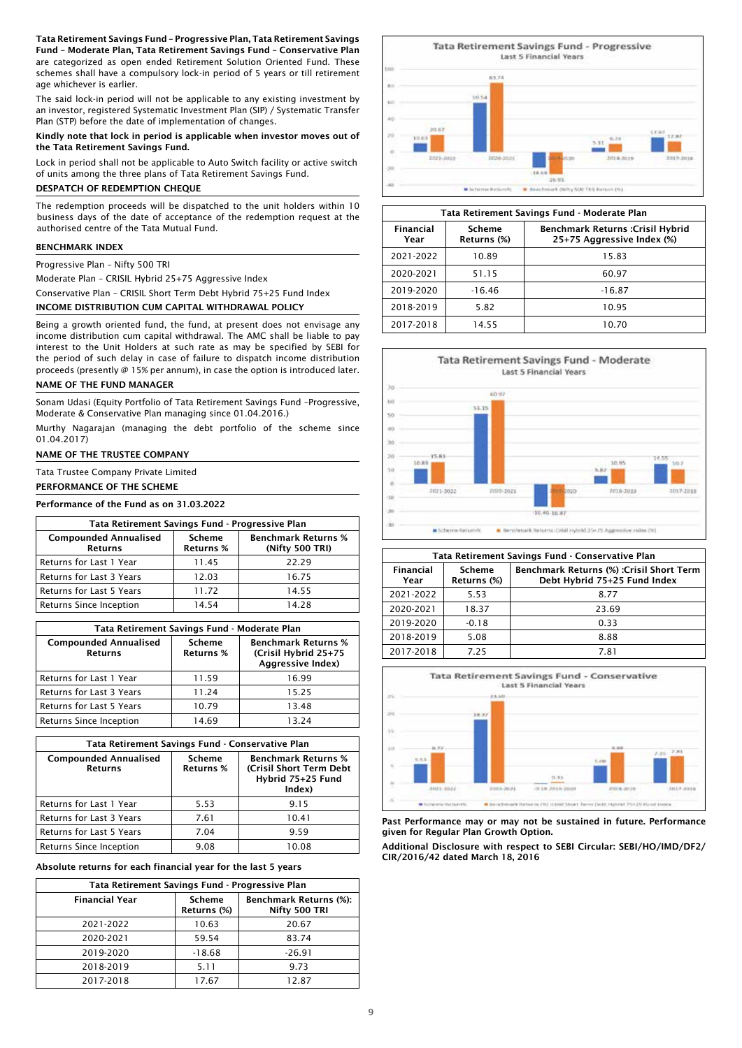Tata Retirement Savings Fund – Progressive Plan, Tata Retirement Savings Fund – Moderate Plan, Tata Retirement Savings Fund – Conservative Plan are categorized as open ended Retirement Solution Oriented Fund. These schemes shall have a compulsory lock-in period of 5 years or till retirement age whichever is earlier.

The said lock-in period will not be applicable to any existing investment by an investor, registered Systematic Investment Plan (SIP) / Systematic Transfer Plan (STP) before the date of implementation of changes.

Kindly note that lock in period is applicable when investor moves out of the Tata Retirement Savings Fund.

Lock in period shall not be applicable to Auto Switch facility or active switch of units among the three plans of Tata Retirement Savings Fund.

# DESPATCH OF REDEMPTION CHEQUE

The redemption proceeds will be dispatched to the unit holders within 10 business days of the date of acceptance of the redemption request at the authorised centre of the Tata Mutual Fund.

#### BENCHMARK INDEX

Progressive Plan – Nifty 500 TRI

Moderate Plan – CRISIL Hybrid 25+75 Aggressive Index

Conservative Plan – CRISIL Short Term Debt Hybrid 75+25 Fund Index

# INCOME DISTRIBUTION CUM CAPITAL WITHDRAWAL POLICY

Being a growth oriented fund, the fund, at present does not envisage any income distribution cum capital withdrawal. The AMC shall be liable to pay interest to the Unit Holders at such rate as may be specified by SEBI for the period of such delay in case of failure to dispatch income distribution proceeds (presently @ 15% per annum), in case the option is introduced later.

# NAME OF THE FUND MANAGER

Sonam Udasi (Equity Portfolio of Tata Retirement Savings Fund –Progressive, Moderate & Conservative Plan managing since 01.04.2016.)

Murthy Nagarajan (managing the debt portfolio of the scheme since 01.04.2017)

### NAME OF THE TRUSTEE COMPANY

Tata Trustee Company Private Limited

#### PERFORMANCE OF THE SCHEME

Performance of the Fund as on 31.03.2022

| Tata Retirement Savings Fund - Progressive Plan |                            |                                               |  |
|-------------------------------------------------|----------------------------|-----------------------------------------------|--|
| <b>Compounded Annualised</b><br><b>Returns</b>  | Scheme<br><b>Returns %</b> | <b>Benchmark Returns %</b><br>(Nifty 500 TRI) |  |
| Returns for Last 1 Year                         | 11.45                      | 22.29                                         |  |
| Returns for Last 3 Years                        | 12.03                      | 16.75                                         |  |
| Returns for Last 5 Years                        | 11.72                      | 14.55                                         |  |
| Returns Since Inception                         | 14.54                      | 14 28                                         |  |

| Tata Retirement Savings Fund - Moderate Plan   |                                   |                                                                         |  |
|------------------------------------------------|-----------------------------------|-------------------------------------------------------------------------|--|
| <b>Compounded Annualised</b><br><b>Returns</b> | <b>Scheme</b><br><b>Returns %</b> | <b>Benchmark Returns %</b><br>(Crisil Hybrid 25+75<br>Aggressive Index) |  |
| Returns for Last 1 Year                        | 11.59                             | 16.99                                                                   |  |
| Returns for Last 3 Years                       | 11.24                             | 15.25                                                                   |  |
| <b>Returns for Last 5 Years</b>                | 10.79                             | 13.48                                                                   |  |
| Returns Since Inception                        | 14.69                             | 13.24                                                                   |  |

| Tata Retirement Savings Fund - Conservative Plan |                                   |                                                                                      |  |
|--------------------------------------------------|-----------------------------------|--------------------------------------------------------------------------------------|--|
| <b>Compounded Annualised</b><br><b>Returns</b>   | <b>Scheme</b><br><b>Returns %</b> | <b>Benchmark Returns %</b><br>(Crisil Short Term Debt<br>Hybrid 75+25 Fund<br>Index) |  |
| Returns for Last 1 Year                          | 5.53                              | 9.15                                                                                 |  |
| Returns for Last 3 Years                         | 7.61                              | 10.41                                                                                |  |
| Returns for Last 5 Years                         | 7.04                              | 9.59                                                                                 |  |
| Returns Since Inception                          | 9.08                              | 10.08                                                                                |  |

Absolute returns for each financial year for the last 5 years

| Tata Retirement Savings Fund - Progressive Plan |                       |                                                |  |
|-------------------------------------------------|-----------------------|------------------------------------------------|--|
| <b>Financial Year</b>                           | Scheme<br>Returns (%) | <b>Benchmark Returns (%):</b><br>Nifty 500 TRI |  |
| 2021-2022                                       | 10.63                 | 20.67                                          |  |
| 2020-2021                                       | 59.54                 | 83.74                                          |  |
| 2019-2020                                       | $-18.68$              | $-26.91$                                       |  |
| 2018-2019                                       | 5.11                  | 9.73                                           |  |
| 2017-2018                                       | 17.67                 | 12.87                                          |  |



| Tata Retirement Savings Fund - Moderate Plan                                                                        |          |          |  |
|---------------------------------------------------------------------------------------------------------------------|----------|----------|--|
| Financial<br>Scheme<br><b>Benchmark Returns :Crisil Hybrid</b><br>25+75 Aggressive Index (%)<br>Returns (%)<br>Year |          |          |  |
| 2021-2022<br>10.89<br>15.83                                                                                         |          |          |  |
| 2020-2021                                                                                                           | 51.15    | 60.97    |  |
| 2019-2020                                                                                                           | $-16.46$ | $-16.87$ |  |
| 2018-2019                                                                                                           | 5.82     | 10.95    |  |
| 2017-2018                                                                                                           | 14.55    | 10.70    |  |



| Tata Retirement Savings Fund - Conservative Plan  |         |                                                                                  |  |
|---------------------------------------------------|---------|----------------------------------------------------------------------------------|--|
| Financial<br><b>Scheme</b><br>Returns (%)<br>Year |         | <b>Benchmark Returns (%) : Crisil Short Term</b><br>Debt Hybrid 75+25 Fund Index |  |
| 2021-2022                                         | 5.53    | 8.77                                                                             |  |
| 2020-2021                                         | 18.37   | 23.69                                                                            |  |
| 2019-2020                                         | $-0.18$ | 0.33                                                                             |  |
| 2018-2019                                         | 5.08    | 8.88                                                                             |  |
| 2017-2018                                         | 7 25    | 7.81                                                                             |  |



Past Performance may or may not be sustained in future. Performance given for Regular Plan Growth Option.

Additional Disclosure with respect to SEBI Circular: SEBI/HO/IMD/DF2/ CIR/2016/42 dated March 18, 2016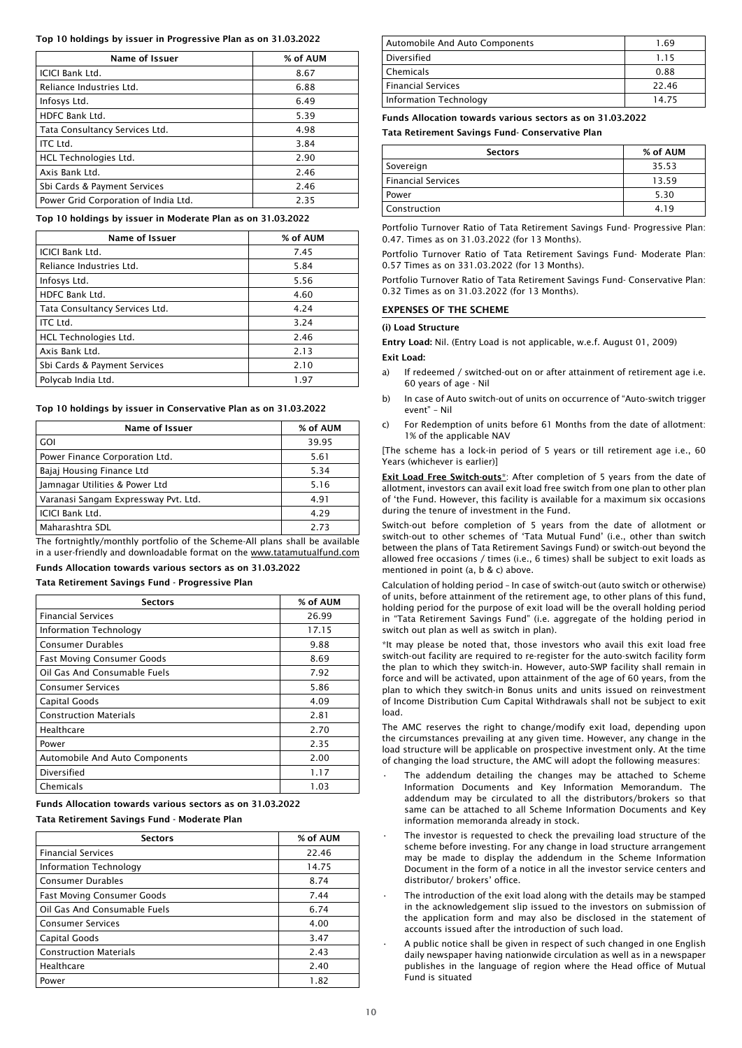#### Top 10 holdings by issuer in Progressive Plan as on 31.03.2022

| Name of Issuer                       | % of AUM |
|--------------------------------------|----------|
| <b>ICICI Bank Ltd.</b>               | 8.67     |
| Reliance Industries Ltd.             | 6.88     |
| Infosys Ltd.                         | 6.49     |
| HDFC Bank Ltd.                       | 5.39     |
| Tata Consultancy Services Ltd.       | 4.98     |
| ITC Ltd.                             | 3.84     |
| HCL Technologies Ltd.                | 2.90     |
| Axis Bank Ltd.                       | 2.46     |
| Sbi Cards & Payment Services         | 2.46     |
| Power Grid Corporation of India Ltd. | 2.35     |

#### Top 10 holdings by issuer in Moderate Plan as on 31.03.2022

| <b>Name of Issuer</b>          | % of AUM |
|--------------------------------|----------|
| <b>ICICI Bank Ltd.</b>         | 7.45     |
| Reliance Industries Ltd.       | 5.84     |
| Infosys Ltd.                   | 5.56     |
| HDFC Bank Ltd.                 | 4.60     |
| Tata Consultancy Services Ltd. | 4.24     |
| ITC Ltd.                       | 3.24     |
| <b>HCL Technologies Ltd.</b>   | 2.46     |
| Axis Bank Ltd.                 | 2.13     |
| Sbi Cards & Payment Services   | 2.10     |
| Polycab India Ltd.             | 1.97     |

#### Top 10 holdings by issuer in Conservative Plan as on 31.03.2022

| <b>Name of Issuer</b>                | % of AUM |
|--------------------------------------|----------|
| <b>GOI</b>                           | 39.95    |
| Power Finance Corporation Ltd.       | 5.61     |
| Bajaj Housing Finance Ltd            | 5.34     |
| Jamnagar Utilities & Power Ltd       | 5.16     |
| Varanasi Sangam Expressway Pvt. Ltd. | 4.91     |
| <b>ICICI Bank Ltd.</b>               | 4.29     |
| Maharashtra SDL                      | 2.73     |

The fortnightly/monthly portfolio of the Scheme-All plans shall be available in a user-friendly and downloadable format on the www.tatamutualfund.com

Funds Allocation towards various sectors as on 31.03.2022

# Tata Retirement Savings Fund - Progressive Plan

| <b>Sectors</b>                        | % of AUM |
|---------------------------------------|----------|
| <b>Financial Services</b>             | 26.99    |
| Information Technology                | 17.15    |
| <b>Consumer Durables</b>              | 9.88     |
| <b>Fast Moving Consumer Goods</b>     | 8.69     |
| Oil Gas And Consumable Fuels          | 7.92     |
| <b>Consumer Services</b>              | 5.86     |
| <b>Capital Goods</b>                  | 4.09     |
| <b>Construction Materials</b>         | 2.81     |
| Healthcare                            | 2.70     |
| Power                                 | 2.35     |
| <b>Automobile And Auto Components</b> | 2.00     |
| Diversified                           | 1.17     |
| Chemicals                             | 1.03     |

Funds Allocation towards various sectors as on 31.03.2022

Tata Retirement Savings Fund - Moderate Plan

| <b>Sectors</b>                    | % of AUM |
|-----------------------------------|----------|
| <b>Financial Services</b>         | 22.46    |
| Information Technology            | 14.75    |
| <b>Consumer Durables</b>          | 8.74     |
| <b>Fast Moving Consumer Goods</b> | 7.44     |
| Oil Gas And Consumable Fuels      | 6.74     |
| <b>Consumer Services</b>          | 4.00     |
| Capital Goods                     | 3.47     |
| <b>Construction Materials</b>     | 2.43     |
| Healthcare                        | 2.40     |
| Power                             | 1.82     |

| Automobile And Auto Components | 1.69  |
|--------------------------------|-------|
| Diversified                    | 1.15  |
| l Chemicals                    | 0.88  |
| Financial Services             | 22.46 |
| Information Technology         | 14.75 |

Funds Allocation towards various sectors as on 31.03.2022

Tata Retirement Savings Fund- Conservative Plan

| <b>Sectors</b>     | % of AUM |
|--------------------|----------|
| Sovereign          | 35.53    |
| Financial Services | 13.59    |
| Power              | 5.30     |
| Construction       | 4.19     |

Portfolio Turnover Ratio of Tata Retirement Savings Fund- Progressive Plan: 0.47. Times as on 31.03.2022 (for 13 Months).

Portfolio Turnover Ratio of Tata Retirement Savings Fund- Moderate Plan: 0.57 Times as on 331.03.2022 (for 13 Months).

Portfolio Turnover Ratio of Tata Retirement Savings Fund- Conservative Plan: 0.32 Times as on 31.03.2022 (for 13 Months).

# EXPENSES OF THE SCHEME

#### (i) Load Structure

Entry Load: Nil. (Entry Load is not applicable, w.e.f. August 01, 2009)

## Exit Load:

- a) If redeemed / switched-out on or after attainment of retirement age i.e. 60 years of age - Nil
- b) In case of Auto switch-out of units on occurrence of "Auto-switch trigger event" – Nil
- c) For Redemption of units before 61 Months from the date of allotment: 1% of the applicable NAV

[The scheme has a lock-in period of 5 years or till retirement age i.e., 60 Years (whichever is earlier)]

Exit Load Free Switch-outs\*: After completion of 5 years from the date of allotment, investors can avail exit load free switch from one plan to other plan of 'the Fund. However, this facility is available for a maximum six occasions during the tenure of investment in the Fund.

Switch-out before completion of 5 years from the date of allotment or switch-out to other schemes of 'Tata Mutual Fund' (i.e., other than switch between the plans of Tata Retirement Savings Fund) or switch-out beyond the allowed free occasions / times (i.e., 6 times) shall be subject to exit loads as mentioned in point (a, b & c) above.

Calculation of holding period – In case of switch-out (auto switch or otherwise) of units, before attainment of the retirement age, to other plans of this fund, holding period for the purpose of exit load will be the overall holding period in "Tata Retirement Savings Fund" (i.e. aggregate of the holding period in switch out plan as well as switch in plan).

\*It may please be noted that, those investors who avail this exit load free switch-out facility are required to re-register for the auto-switch facility form the plan to which they switch-in. However, auto-SWP facility shall remain in force and will be activated, upon attainment of the age of 60 years, from the plan to which they switch-in Bonus units and units issued on reinvestment of Income Distribution Cum Capital Withdrawals shall not be subject to exit load.

The AMC reserves the right to change/modify exit load, depending upon the circumstances prevailing at any given time. However, any change in the load structure will be applicable on prospective investment only. At the time of changing the load structure, the AMC will adopt the following measures:

- The addendum detailing the changes may be attached to Scheme Information Documents and Key Information Memorandum. The addendum may be circulated to all the distributors/brokers so that same can be attached to all Scheme Information Documents and Key information memoranda already in stock.
- The investor is requested to check the prevailing load structure of the scheme before investing. For any change in load structure arrangement may be made to display the addendum in the Scheme Information Document in the form of a notice in all the investor service centers and distributor/ brokers' office.
- The introduction of the exit load along with the details may be stamped in the acknowledgement slip issued to the investors on submission of the application form and may also be disclosed in the statement of accounts issued after the introduction of such load.
- A public notice shall be given in respect of such changed in one English daily newspaper having nationwide circulation as well as in a newspaper publishes in the language of region where the Head office of Mutual Fund is situated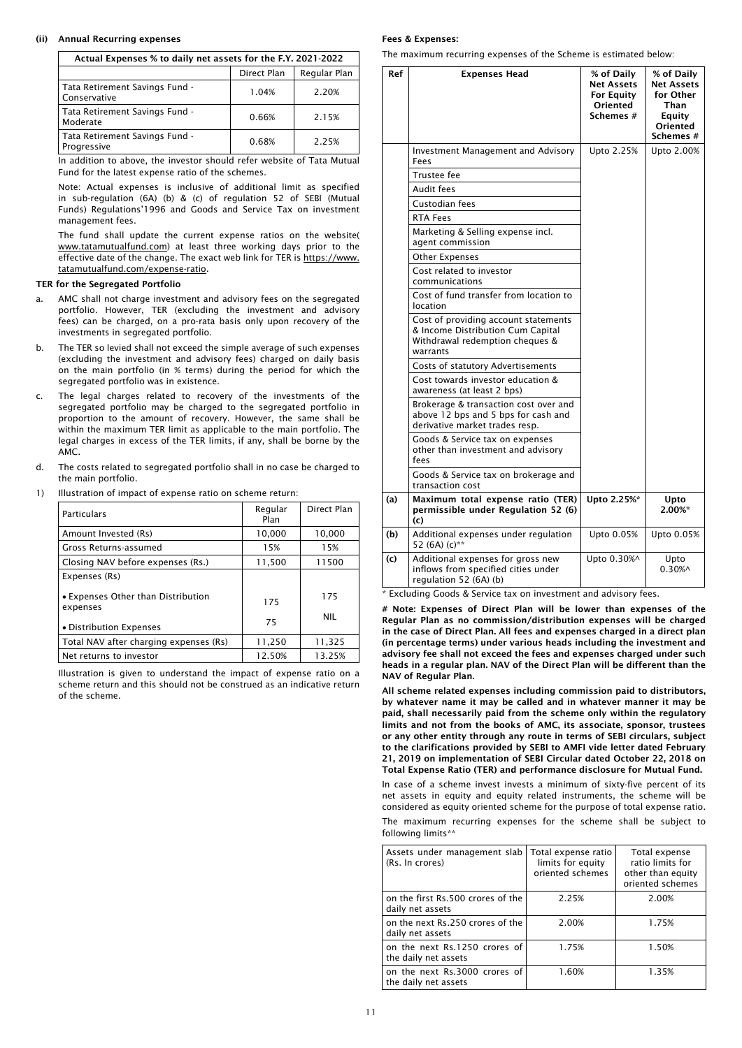# (ii) Annual Recurring expenses

Actual Expenses % to daily net assets for the F.Y. 2021-2022

|                                                | Direct Plan | Regular Plan |  |
|------------------------------------------------|-------------|--------------|--|
| Tata Retirement Savings Fund -<br>Conservative | 1.04%       | 2.20%        |  |
| Tata Retirement Savings Fund -<br>Moderate     | 0.66%       | 2.15%        |  |
| Tata Retirement Savings Fund -<br>Progressive  | 0.68%       | 2.25%        |  |

In addition to above, the investor should refer website of Tata Mutual Fund for the latest expense ratio of the schemes.

Note: Actual expenses is inclusive of additional limit as specified in sub-regulation (6A) (b) & (c) of regulation 52 of SEBI (Mutual Funds) Regulations'1996 and Goods and Service Tax on investment management fees.

The fund shall update the current expense ratios on the website( www.tatamutualfund.com) at least three working days prior to the effective date of the change. The exact web link for TER is https://www. tatamutualfund.com/expense-ratio.

#### TER for the Segregated Portfolio

- AMC shall not charge investment and advisory fees on the segregated portfolio. However, TER (excluding the investment and advisory fees) can be charged, on a pro-rata basis only upon recovery of the investments in segregated portfolio.
- b. The TER so levied shall not exceed the simple average of such expenses (excluding the investment and advisory fees) charged on daily basis on the main portfolio (in % terms) during the period for which the segregated portfolio was in existence.
- c. The legal charges related to recovery of the investments of the segregated portfolio may be charged to the segregated portfolio in proportion to the amount of recovery. However, the same shall be within the maximum TER limit as applicable to the main portfolio. The legal charges in excess of the TER limits, if any, shall be borne by the AMC.
- d. The costs related to segregated portfolio shall in no case be charged to the main portfolio.
- 1) Illustration of impact of expense ratio on scheme return:

| Particulars                                    | Regular<br>Plan | Direct Plan |
|------------------------------------------------|-----------------|-------------|
| Amount Invested (Rs)                           | 10,000          | 10.000      |
| Gross Returns-assumed                          | 15%             | 15%         |
| Closing NAV before expenses (Rs.)              | 11,500          | 11500       |
| Expenses (Rs)                                  |                 |             |
| • Expenses Other than Distribution<br>expenses | 175             | 175         |
| • Distribution Expenses                        | 75              | <b>NIL</b>  |
| Total NAV after charging expenses (Rs)         | 11,250          | 11,325      |
| Net returns to investor                        | 12.50%          | 13.25%      |

Illustration is given to understand the impact of expense ratio on a scheme return and this should not be construed as an indicative return of the scheme.

#### Fees & Expenses:

The maximum recurring expenses of the Scheme is estimated below:

| Ref | Expenses Head                                                                                                            | % of Daily<br><b>Net Assets</b><br><b>For Equity</b><br>Oriented<br>Schemes # | % of Daily<br><b>Net Assets</b><br>for Other<br>Than<br>Equity<br>Oriented<br>Schemes # |
|-----|--------------------------------------------------------------------------------------------------------------------------|-------------------------------------------------------------------------------|-----------------------------------------------------------------------------------------|
|     | Investment Management and Advisory<br>Fees                                                                               | Upto 2.25%                                                                    | Upto 2.00%                                                                              |
|     | Trustee fee<br>Audit fees                                                                                                |                                                                               |                                                                                         |
|     | Custodian fees                                                                                                           |                                                                               |                                                                                         |
|     | <b>RTA Fees</b>                                                                                                          |                                                                               |                                                                                         |
|     | Marketing & Selling expense incl.<br>agent commission                                                                    |                                                                               |                                                                                         |
|     | Other Expenses                                                                                                           |                                                                               |                                                                                         |
|     | Cost related to investor<br>communications                                                                               |                                                                               |                                                                                         |
|     | Cost of fund transfer from location to<br>location                                                                       |                                                                               |                                                                                         |
|     | Cost of providing account statements<br>& Income Distribution Cum Capital<br>Withdrawal redemption cheques &<br>warrants |                                                                               |                                                                                         |
|     | Costs of statutory Advertisements                                                                                        |                                                                               |                                                                                         |
|     | Cost towards investor education &<br>awareness (at least 2 bps)                                                          |                                                                               |                                                                                         |
|     | Brokerage & transaction cost over and<br>above 12 bps and 5 bps for cash and<br>derivative market trades resp.           |                                                                               |                                                                                         |
|     | Goods & Service tax on expenses<br>other than investment and advisory<br>fees                                            |                                                                               |                                                                                         |
|     | Goods & Service tax on brokerage and<br>transaction cost                                                                 |                                                                               |                                                                                         |
| (a) | Maximum total expense ratio (TER)<br>permissible under Regulation 52 (6)<br>(c)                                          | Upto 2.25%*                                                                   | Upto<br>2.00%*                                                                          |
| (b) | Additional expenses under regulation<br>52 (6A) (c)**                                                                    | Upto 0.05%                                                                    | Upto 0.05%                                                                              |
| (c) | Additional expenses for gross new<br>inflows from specified cities under<br>regulation 52 (6A) (b)                       | Upto 0.30%^                                                                   | Upto<br>$0.30\%$ ^                                                                      |

Excluding Goods & Service tax on investment and advisory fees.

# Note: Expenses of Direct Plan will be lower than expenses of the Regular Plan as no commission/distribution expenses will be charged in the case of Direct Plan. All fees and expenses charged in a direct plan (in percentage terms) under various heads including the investment and advisory fee shall not exceed the fees and expenses charged under such heads in a regular plan. NAV of the Direct Plan will be different than the NAV of Regular Plan.

All scheme related expenses including commission paid to distributors, by whatever name it may be called and in whatever manner it may be paid, shall necessarily paid from the scheme only within the regulatory limits and not from the books of AMC, its associate, sponsor, trustees or any other entity through any route in terms of SEBI circulars, subject to the clarifications provided by SEBI to AMFI vide letter dated February 21, 2019 on implementation of SEBI Circular dated October 22, 2018 on Total Expense Ratio (TER) and performance disclosure for Mutual Fund.

In case of a scheme invest invests a minimum of sixty-five percent of its net assets in equity and equity related instruments, the scheme will be considered as equity oriented scheme for the purpose of total expense ratio. The maximum recurring expenses for the scheme shall be subject to

| following limits** |  |  |  |  |  |  |  |  |
|--------------------|--|--|--|--|--|--|--|--|
|                    |  |  |  |  |  |  |  |  |

| Assets under management slab<br>(Rs. In crores)       | Total expense ratio<br>limits for equity<br>oriented schemes | Total expense<br>ratio limits for<br>other than equity<br>oriented schemes |
|-------------------------------------------------------|--------------------------------------------------------------|----------------------------------------------------------------------------|
| on the first Rs.500 crores of the<br>daily net assets | 2.25%                                                        | 2.00%                                                                      |
| on the next Rs.250 crores of the<br>daily net assets  | 2.00%                                                        | 1.75%                                                                      |
| on the next Rs.1250 crores of<br>the daily net assets | 1.75%                                                        | 1.50%                                                                      |
| on the next Rs.3000 crores of<br>the daily net assets | 1.60%                                                        | 1.35%                                                                      |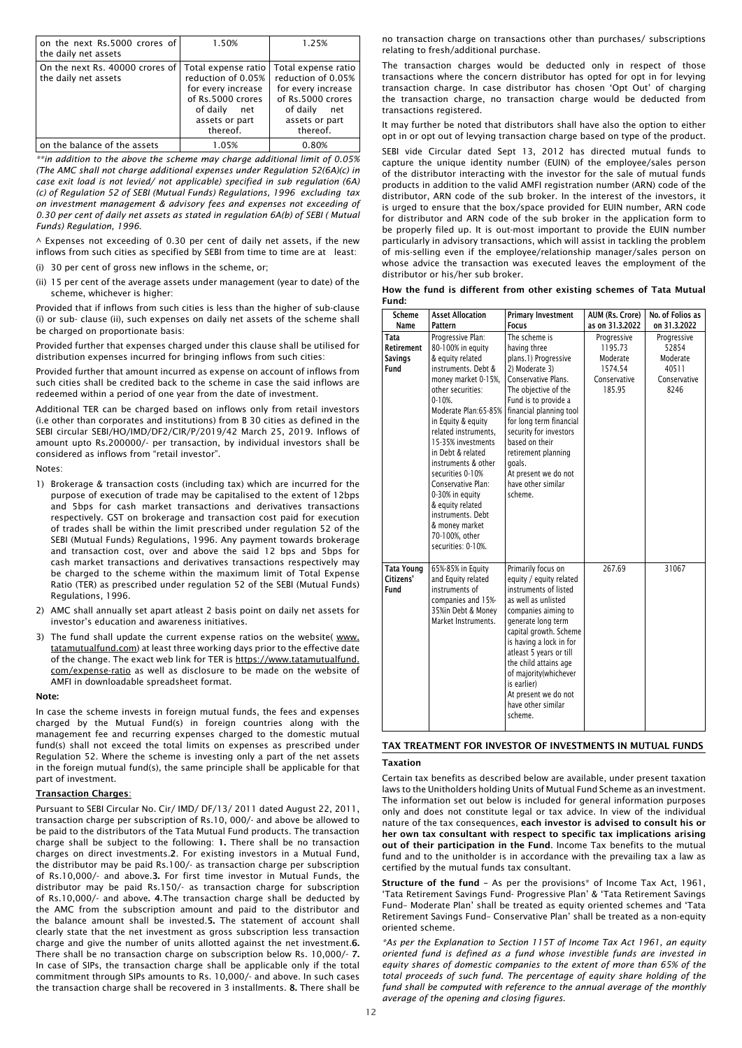| on the next Rs.5000 crores of<br>the daily net assets   | 1.50%                                                                                                                                 | 1.25%                                                                                                                                 |
|---------------------------------------------------------|---------------------------------------------------------------------------------------------------------------------------------------|---------------------------------------------------------------------------------------------------------------------------------------|
| On the next Rs. 40000 crores of<br>the daily net assets | Total expense ratio<br>reduction of 0.05%<br>for every increase<br>of Rs.5000 crores<br>of daily<br>net<br>assets or part<br>thereof. | Total expense ratio<br>reduction of 0.05%<br>for every increase<br>of Rs.5000 crores<br>of daily<br>net<br>assets or part<br>thereof. |
| on the balance of the assets                            | 1.05%                                                                                                                                 | 0.80%                                                                                                                                 |

*\*\*in addition to the above the scheme may charge additional limit of 0.05% (The AMC shall not charge additional expenses under Regulation 52(6A)(c) in case exit load is not levied/ not applicable) specified in sub regulation (6A) (c) of Regulation 52 of SEBI (Mutual Funds) Regulations, 1996 excluding tax on investment management & advisory fees and expenses not exceeding of 0.30 per cent of daily net assets as stated in regulation 6A(b) of SEBI ( Mutual Funds) Regulation, 1996.* 

 $\land$  Expenses not exceeding of 0.30 per cent of daily net assets, if the new inflows from such cities as specified by SEBI from time to time are at least:

- (i) 30 per cent of gross new inflows in the scheme, or;
- (ii) 15 per cent of the average assets under management (year to date) of the scheme, whichever is higher:

Provided that if inflows from such cities is less than the higher of sub-clause (i) or sub- clause (ii), such expenses on daily net assets of the scheme shall be charged on proportionate basis:

Provided further that expenses charged under this clause shall be utilised for distribution expenses incurred for bringing inflows from such cities:

Provided further that amount incurred as expense on account of inflows from such cities shall be credited back to the scheme in case the said inflows are redeemed within a period of one year from the date of investment.

Additional TER can be charged based on inflows only from retail investors (i.e other than corporates and institutions) from B 30 cities as defined in the SEBI circular SEBI/HO/IMD/DF2/CIR/P/2019/42 March 25, 2019. Inflows of amount upto Rs.200000/- per transaction, by individual investors shall be considered as inflows from "retail investor".

Notes:

- 1) Brokerage & transaction costs (including tax) which are incurred for the purpose of execution of trade may be capitalised to the extent of 12bps and 5bps for cash market transactions and derivatives transactions respectively. GST on brokerage and transaction cost paid for execution of trades shall be within the limit prescribed under regulation 52 of the SEBI (Mutual Funds) Regulations, 1996. Any payment towards brokerage and transaction cost, over and above the said 12 bps and 5bps for cash market transactions and derivatives transactions respectively may be charged to the scheme within the maximum limit of Total Expense Ratio (TER) as prescribed under regulation 52 of the SEBI (Mutual Funds) Regulations, 1996.
- 2) AMC shall annually set apart atleast 2 basis point on daily net assets for investor's education and awareness initiatives.
- 3) The fund shall update the current expense ratios on the website( www. tatamutualfund.com) at least three working days prior to the effective date of the change. The exact web link for TER is https://www.tatamutualfund. com/expense-ratio as well as disclosure to be made on the website of AMFI in downloadable spreadsheet format.

#### Note:

In case the scheme invests in foreign mutual funds, the fees and expenses charged by the Mutual Fund(s) in foreign countries along with the management fee and recurring expenses charged to the domestic mutual fund(s) shall not exceed the total limits on expenses as prescribed under Regulation 52. Where the scheme is investing only a part of the net assets in the foreign mutual fund(s), the same principle shall be applicable for that part of investment.

## Transaction Charges:

Pursuant to SEBI Circular No. Cir/ IMD/ DF/13/ 2011 dated August 22, 2011, transaction charge per subscription of Rs.10, 000/- and above be allowed to be paid to the distributors of the Tata Mutual Fund products. The transaction charge shall be subject to the following: 1. There shall be no transaction charges on direct investments.2. For existing investors in a Mutual Fund, the distributor may be paid Rs.100/- as transaction charge per subscription of Rs.10,000/- and above.3. For first time investor in Mutual Funds, the distributor may be paid Rs.150/- as transaction charge for subscription of Rs.10,000/- and above. 4.The transaction charge shall be deducted by the AMC from the subscription amount and paid to the distributor and the balance amount shall be invested.5. The statement of account shall clearly state that the net investment as gross subscription less transaction charge and give the number of units allotted against the net investment.6. There shall be no transaction charge on subscription below Rs. 10,000/- 7. In case of SIPs, the transaction charge shall be applicable only if the total commitment through SIPs amounts to Rs. 10,000/- and above. In such cases the transaction charge shall be recovered in 3 installments. 8. There shall be

no transaction charge on transactions other than purchases/ subscriptions relating to fresh/additional purchase.

The transaction charges would be deducted only in respect of those transactions where the concern distributor has opted for opt in for levying transaction charge. In case distributor has chosen 'Opt Out' of charging the transaction charge, no transaction charge would be deducted from transactions registered.

It may further be noted that distributors shall have also the option to either opt in or opt out of levying transaction charge based on type of the product.

SEBI vide Circular dated Sept 13, 2012 has directed mutual funds to capture the unique identity number (EUIN) of the employee/sales person of the distributor interacting with the investor for the sale of mutual funds products in addition to the valid AMFI registration number (ARN) code of the distributor, ARN code of the sub broker. In the interest of the investors, it is urged to ensure that the box/space provided for EUIN number, ARN code for distributor and ARN code of the sub broker in the application form to be properly filed up. It is out-most important to provide the EUIN number particularly in advisory transactions, which will assist in tackling the problem of mis-selling even if the employee/relationship manager/sales person on whose advice the transaction was executed leaves the employment of the distributor or his/her sub broker.

| How the fund is different from other existing schemes of Tata Mutual |  |  |  |  |  |
|----------------------------------------------------------------------|--|--|--|--|--|
| Fund:                                                                |  |  |  |  |  |

| <b>Scheme</b><br><b>Name</b>                        | <b>Asset Allocation</b><br>Pattern                                                                                                                                                                                                                                                                                                                                                                                                              | <b>Primary Investment</b><br><b>Focus</b>                                                                                                                                                                                                                                                                                                            | AUM (Rs. Crore)<br>as on 31.3.2022                                      | No. of Folios as<br>on 31.3.2022                                  |
|-----------------------------------------------------|-------------------------------------------------------------------------------------------------------------------------------------------------------------------------------------------------------------------------------------------------------------------------------------------------------------------------------------------------------------------------------------------------------------------------------------------------|------------------------------------------------------------------------------------------------------------------------------------------------------------------------------------------------------------------------------------------------------------------------------------------------------------------------------------------------------|-------------------------------------------------------------------------|-------------------------------------------------------------------|
| Tata<br><b>Retirement</b><br><b>Savings</b><br>Fund | Progressive Plan:<br>80-100% in equity<br>& equity related<br>instruments. Debt &<br>money market 0-15%,<br>other securities:<br>0-10%<br>Moderate Plan: 65-85%<br>in Equity & equity<br>related instruments,<br>15-35% investments<br>in Debt & related<br>instruments & other<br>securities 0-10%<br>Conservative Plan:<br>0-30% in equity<br>& equity related<br>instruments. Debt<br>& money market<br>70-100%, other<br>securities: 0-10%. | The scheme is<br>having three<br>plans.1) Progressive<br>2) Moderate 3)<br>Conservative Plans.<br>The objective of the<br>Fund is to provide a<br>financial planning tool<br>for long term financial<br>security for investors<br>based on their<br>retirement planning<br>goals.<br>At present we do not<br>have other similar<br>scheme.           | Progressive<br>1195.73<br>Moderate<br>1574.54<br>Conservative<br>185.95 | Progressive<br>52854<br>Moderate<br>40511<br>Conservative<br>8246 |
| <b>Tata Young</b><br>Citizens'<br>Fund              | 65%-85% in Equity<br>and Equity related<br>instruments of<br>companies and 15%-<br>35%in Debt & Money<br>Market Instruments.                                                                                                                                                                                                                                                                                                                    | Primarily focus on<br>equity / equity related<br>instruments of listed<br>as well as unlisted<br>companies aiming to<br>generate long term<br>capital growth. Scheme<br>is having a lock in for<br>atleast 5 years or till<br>the child attains age<br>of majority(whichever<br>is earlier)<br>At present we do not<br>have other similar<br>scheme. | 267.69                                                                  | 31067                                                             |

## TAX TREATMENT FOR INVESTOR OF INVESTMENTS IN MUTUAL FUNDS

## Taxation

Certain tax benefits as described below are available, under present taxation laws to the Unitholders holding Units of Mutual Fund Scheme as an investment. The information set out below is included for general information purposes only and does not constitute legal or tax advice. In view of the individual nature of the tax consequences, each investor is advised to consult his or her own tax consultant with respect to specific tax implications arising out of their participation in the Fund. Income Tax benefits to the mutual fund and to the unitholder is in accordance with the prevailing tax a law as certified by the mutual funds tax consultant.

Structure of the fund – As per the provisions\* of Income Tax Act, 1961, 'Tata Retirement Savings Fund- Progressive Plan' & 'Tata Retirement Savings Fund– Moderate Plan' shall be treated as equity oriented schemes and 'Tata Retirement Savings Fund– Conservative Plan' shall be treated as a non-equity oriented scheme.

*\*As per the Explanation to Section 115T of Income Tax Act 1961, an equity oriented fund is defined as a fund whose investible funds are invested in equity shares of domestic companies to the extent of more than 65% of the total proceeds of such fund. The percentage of equity share holding of the fund shall be computed with reference to the annual average of the monthly average of the opening and closing figures.*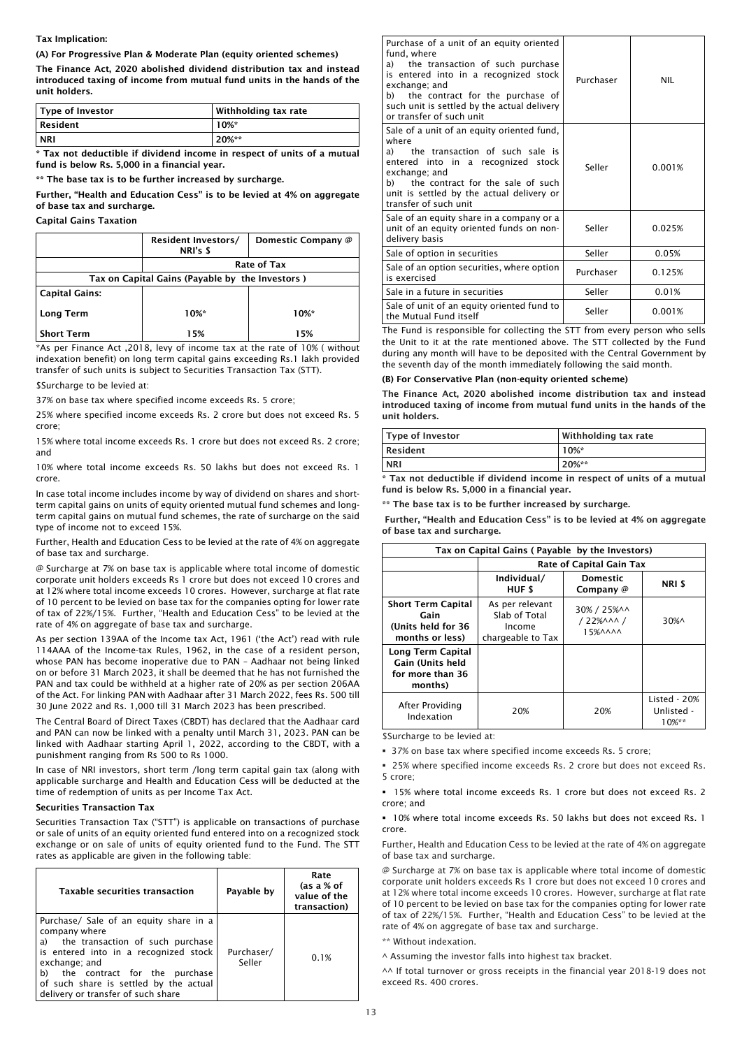## Tax Implication:

(A) For Progressive Plan & Moderate Plan (equity oriented schemes)

The Finance Act, 2020 abolished dividend distribution tax and instead introduced taxing of income from mutual fund units in the hands of the unit holders.

| Type of Investor | Withholding tax rate |
|------------------|----------------------|
| $\vert$ Resident | $10\%$ *             |
| <b>NRI</b>       | 20%**                |

\* Tax not deductible if dividend income in respect of units of a mutual fund is below Rs. 5,000 in a financial year.

\*\* The base tax is to be further increased by surcharge.

Further, "Health and Education Cess" is to be levied at 4% on aggregate of base tax and surcharge.

Capital Gains Taxation

|                                                 | <b>Resident Investors/</b><br>NRI's \$ | Domestic Company @ |  |  |  |  |
|-------------------------------------------------|----------------------------------------|--------------------|--|--|--|--|
|                                                 | Rate of Tax                            |                    |  |  |  |  |
| Tax on Capital Gains (Payable by the Investors) |                                        |                    |  |  |  |  |
| <b>Capital Gains:</b>                           |                                        |                    |  |  |  |  |
| Long Term                                       | 10%*                                   | $10\%$ *           |  |  |  |  |
| <b>Short Term</b>                               | 15%                                    | 15%                |  |  |  |  |

\*As per Finance Act ,2018, levy of income tax at the rate of 10% ( without indexation benefit) on long term capital gains exceeding Rs.1 lakh provided transfer of such units is subject to Securities Transaction Tax (STT).

\$Surcharge to be levied at:

37% on base tax where specified income exceeds Rs. 5 crore;

25% where specified income exceeds Rs. 2 crore but does not exceed Rs. 5 crore;

15% where total income exceeds Rs. 1 crore but does not exceed Rs. 2 crore; and

10% where total income exceeds Rs. 50 lakhs but does not exceed Rs. 1 crore.

In case total income includes income by way of dividend on shares and shortterm capital gains on units of equity oriented mutual fund schemes and longterm capital gains on mutual fund schemes, the rate of surcharge on the said type of income not to exceed 15%.

Further, Health and Education Cess to be levied at the rate of 4% on aggregate of base tax and surcharge.

@ Surcharge at 7% on base tax is applicable where total income of domestic corporate unit holders exceeds Rs 1 crore but does not exceed 10 crores and at 12% where total income exceeds 10 crores. However, surcharge at flat rate of 10 percent to be levied on base tax for the companies opting for lower rate of tax of 22%/15%. Further, "Health and Education Cess" to be levied at the rate of 4% on aggregate of base tax and surcharge.

As per section 139AA of the Income tax Act, 1961 ('the Act') read with rule 114AAA of the Income-tax Rules, 1962, in the case of a resident person, whose PAN has become inoperative due to PAN – Aadhaar not being linked on or before 31 March 2023, it shall be deemed that he has not furnished the PAN and tax could be withheld at a higher rate of 20% as per section 206AA of the Act. For linking PAN with Aadhaar after 31 March 2022, fees Rs. 500 till 30 June 2022 and Rs. 1,000 till 31 March 2023 has been prescribed.

The Central Board of Direct Taxes (CBDT) has declared that the Aadhaar card and PAN can now be linked with a penalty until March 31, 2023. PAN can be linked with Aadhaar starting April 1, 2022, according to the CBDT, with a punishment ranging from Rs 500 to Rs 1000.

In case of NRI investors, short term /long term capital gain tax (along with applicable surcharge and Health and Education Cess will be deducted at the time of redemption of units as per Income Tax Act.

# Securities Transaction Tax

Securities Transaction Tax ("STT") is applicable on transactions of purchase or sale of units of an equity oriented fund entered into on a recognized stock exchange or on sale of units of equity oriented fund to the Fund. The STT rates as applicable are given in the following table:

| <b>Taxable securities transaction</b>                                                                                                                                                                                                                                                 | Payable by           | Rate<br>(as a % of<br>value of the<br>transaction) |
|---------------------------------------------------------------------------------------------------------------------------------------------------------------------------------------------------------------------------------------------------------------------------------------|----------------------|----------------------------------------------------|
| Purchase/ Sale of an equity share in a<br>company where<br>the transaction of such purchase<br>a)<br>is entered into in a recognized stock<br>exchange; and<br>b)<br>the contract for the<br>purchase<br>of such share is settled by the actual<br>delivery or transfer of such share | Purchaser/<br>Seller | 0.1%                                               |

| Purchase of a unit of an equity oriented<br>fund, where<br>a) the transaction of such purchase<br>is entered into in a recognized stock<br>exchange; and<br>b) the contract for the purchase of<br>such unit is settled by the actual delivery<br>or transfer of such unit | Purchaser | <b>NIL</b> |
|----------------------------------------------------------------------------------------------------------------------------------------------------------------------------------------------------------------------------------------------------------------------------|-----------|------------|
| Sale of a unit of an equity oriented fund,<br>where<br>the transaction of such sale is<br>a)<br>entered into in a recognized stock<br>exchange; and<br>the contract for the sale of such<br>b)<br>unit is settled by the actual delivery or<br>transfer of such unit       | Seller    | 0.001%     |
| Sale of an equity share in a company or a<br>unit of an equity oriented funds on non-<br>delivery basis                                                                                                                                                                    | Seller    | 0.025%     |
| Sale of option in securities                                                                                                                                                                                                                                               | Seller    | 0.05%      |
| Sale of an option securities, where option<br>is exercised                                                                                                                                                                                                                 | Purchaser | 0.125%     |
| Sale in a future in securities                                                                                                                                                                                                                                             | Seller    | 0.01%      |
| Sale of unit of an equity oriented fund to<br>the Mutual Fund itself                                                                                                                                                                                                       | Seller    | 0.001%     |

The Fund is responsible for collecting the STT from every person who sells the Unit to it at the rate mentioned above. The STT collected by the Fund during any month will have to be deposited with the Central Government by the seventh day of the month immediately following the said month.

# (B) For Conservative Plan (non-equity oriented scheme)

The Finance Act, 2020 abolished income distribution tax and instead introduced taxing of income from mutual fund units in the hands of the unit holders.

| Type of Investor | Withholding tax rate |
|------------------|----------------------|
| Resident         | $10\%$ *             |
| <b>NRI</b>       | 20%**                |

\* Tax not deductible if dividend income in respect of units of a mutual fund is below Rs. 5,000 in a financial year.

\*\* The base tax is to be further increased by surcharge.

Further, "Health and Education Cess" is to be levied at 4% on aggregate of base tax and surcharge.

| Tax on Capital Gains (Payable by the Investors)                            |                                                                 |                                                                |                                        |  |  |
|----------------------------------------------------------------------------|-----------------------------------------------------------------|----------------------------------------------------------------|----------------------------------------|--|--|
|                                                                            |                                                                 | Rate of Capital Gain Tax                                       |                                        |  |  |
|                                                                            | Individual/<br>HUF \$                                           | <b>Domestic</b><br>Company @                                   | NRI \$                                 |  |  |
| <b>Short Term Capital</b><br>Gain<br>(Units held for 36<br>months or less) | As per relevant<br>Slab of Total<br>Income<br>chargeable to Tax | 30% / 25%^^<br>$/22%$ AAA $/$<br>$15%$ $\land$ $\land$ $\land$ | $30\%$                                 |  |  |
| Long Term Capital<br>Gain (Units held<br>for more than 36<br>months)       |                                                                 |                                                                |                                        |  |  |
| After Providing<br>Indexation                                              | 20%                                                             | 20%                                                            | Listed - 20%<br>Unlisted -<br>$10\%**$ |  |  |

\$Surcharge to be levied at:

37% on base tax where specified income exceeds Rs. 5 crore;

 25% where specified income exceeds Rs. 2 crore but does not exceed Rs. 5 crore;

 15% where total income exceeds Rs. 1 crore but does not exceed Rs. 2 crore; and

 10% where total income exceeds Rs. 50 lakhs but does not exceed Rs. 1 crore.

Further, Health and Education Cess to be levied at the rate of 4% on aggregate of base tax and surcharge.

@ Surcharge at 7% on base tax is applicable where total income of domestic corporate unit holders exceeds Rs 1 crore but does not exceed 10 crores and at 12% where total income exceeds 10 crores. However, surcharge at flat rate of 10 percent to be levied on base tax for the companies opting for lower rate of tax of 22%/15%. Further, "Health and Education Cess" to be levied at the rate of 4% on aggregate of base tax and surcharge.

\*\* Without indexation.

^ Assuming the investor falls into highest tax bracket.

^^ If total turnover or gross receipts in the financial year 2018-19 does not exceed Rs. 400 crores.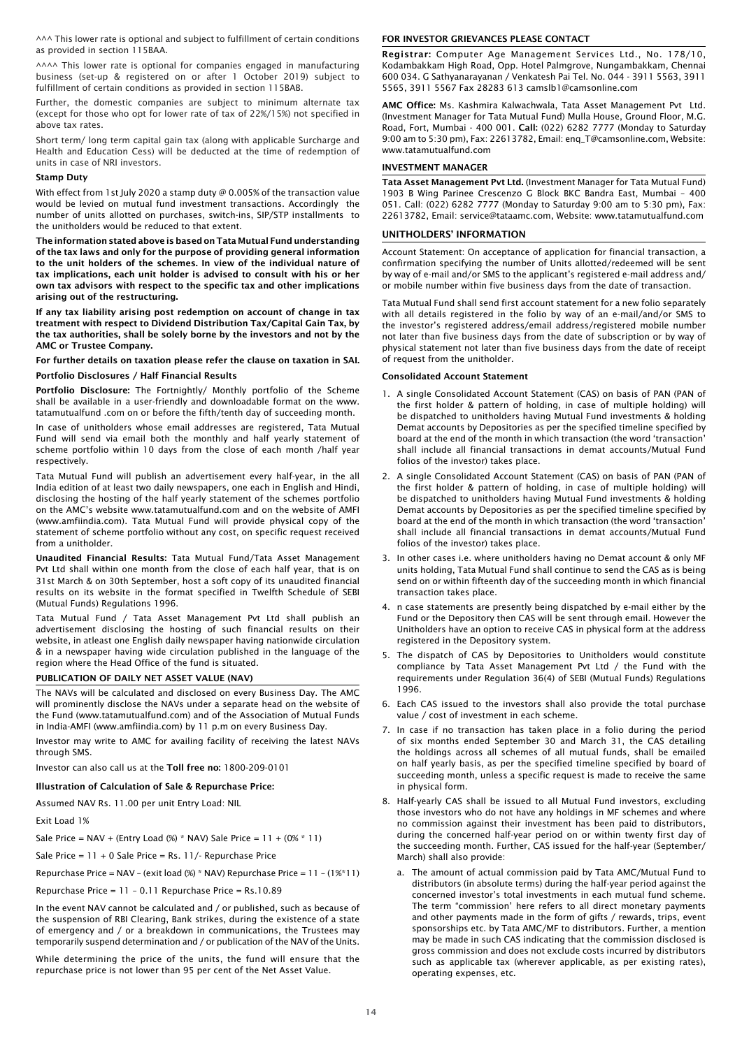^^^ This lower rate is optional and subject to fulfillment of certain conditions as provided in section 115BAA.

AAAA This lower rate is optional for companies engaged in manufacturing business (set-up & registered on or after 1 October 2019) subject to fulfillment of certain conditions as provided in section 115BAB.

Further, the domestic companies are subject to minimum alternate tax (except for those who opt for lower rate of tax of 22%/15%) not specified in above tax rates.

Short term/ long term capital gain tax (along with applicable Surcharge and Health and Education Cess) will be deducted at the time of redemption of units in case of NRI investors.

#### Stamp Duty

With effect from 1st July 2020 a stamp duty @ 0.005% of the transaction value would be levied on mutual fund investment transactions. Accordingly the number of units allotted on purchases, switch-ins, SIP/STP installments to the unitholders would be reduced to that extent.

The information stated above is based on Tata Mutual Fund understanding of the tax laws and only for the purpose of providing general information to the unit holders of the schemes. In view of the individual nature of tax implications, each unit holder is advised to consult with his or her own tax advisors with respect to the specific tax and other implications arising out of the restructuring.

If any tax liability arising post redemption on account of change in tax treatment with respect to Dividend Distribution Tax/Capital Gain Tax, by the tax authorities, shall be solely borne by the investors and not by the AMC or Trustee Company.

For further details on taxation please refer the clause on taxation in SAI.

Portfolio Disclosures / Half Financial Results

Portfolio Disclosure: The Fortnightly/ Monthly portfolio of the Scheme shall be available in a user-friendly and downloadable format on the www. tatamutualfund .com on or before the fifth/tenth day of succeeding month.

In case of unitholders whose email addresses are registered, Tata Mutual Fund will send via email both the monthly and half yearly statement of scheme portfolio within 10 days from the close of each month /half year respectively.

Tata Mutual Fund will publish an advertisement every half-year, in the all India edition of at least two daily newspapers, one each in English and Hindi, disclosing the hosting of the half yearly statement of the schemes portfolio on the AMC's website www.tatamutualfund.com and on the website of AMFI (www.amfiindia.com). Tata Mutual Fund will provide physical copy of the statement of scheme portfolio without any cost, on specific request received from a unitholder.

Unaudited Financial Results: Tata Mutual Fund/Tata Asset Management Pvt Ltd shall within one month from the close of each half year, that is on 31st March & on 30th September, host a soft copy of its unaudited financial results on its website in the format specified in Twelfth Schedule of SEBI (Mutual Funds) Regulations 1996.

Tata Mutual Fund / Tata Asset Management Pvt Ltd shall publish an advertisement disclosing the hosting of such financial results on their website, in atleast one English daily newspaper having nationwide circulation & in a newspaper having wide circulation published in the language of the region where the Head Office of the fund is situated.

#### PUBLICATION OF DAILY NET ASSET VALUE (NAV)

The NAVs will be calculated and disclosed on every Business Day. The AMC will prominently disclose the NAVs under a separate head on the website of the Fund (www.tatamutualfund.com) and of the Association of Mutual Funds in India-AMFI (www.amfiindia.com) by 11 p.m on every Business Day.

Investor may write to AMC for availing facility of receiving the latest NAVs through SMS.

Investor can also call us at the Toll free no: 1800-209-0101

#### Illustration of Calculation of Sale & Repurchase Price:

Assumed NAV Rs. 11.00 per unit Entry Load: NIL

Exit Load 1%

Sale Price =  $NAV + (Entry Load %) * NAV$ ) Sale Price =  $11 + (0% * 11)$ 

Sale Price = 11 + 0 Sale Price = Rs. 11/- Repurchase Price

Repurchase Price = NAV – (exit load (%) \* NAV) Repurchase Price = 11 – (1%\*11)

Repurchase Price = 11 – 0.11 Repurchase Price = Rs.10.89

In the event NAV cannot be calculated and / or published, such as because of the suspension of RBI Clearing, Bank strikes, during the existence of a state of emergency and / or a breakdown in communications, the Trustees may temporarily suspend determination and / or publication of the NAV of the Units.

While determining the price of the units, the fund will ensure that the repurchase price is not lower than 95 per cent of the Net Asset Value.

#### FOR INVESTOR GRIEVANCES PLEASE CONTACT

Registrar: Computer Age Management Services Ltd., No. 178/10, Kodambakkam High Road, Opp. Hotel Palmgrove, Nungambakkam, Chennai 600 034. G Sathyanarayanan / Venkatesh Pai Tel. No. 044 - 3911 5563, 3911 5565, 3911 5567 Fax 28283 613 camslb1@camsonline.com

AMC Office: Ms. Kashmira Kalwachwala, Tata Asset Management Pvt Ltd. (Investment Manager for Tata Mutual Fund) Mulla House, Ground Floor, M.G. Road, Fort, Mumbai - 400 001. Call: (022) 6282 7777 (Monday to Saturday 9:00 am to 5:30 pm), Fax: 22613782, Email: enq\_T@camsonline.com, Website: www.tatamutualfund.com

#### INVESTMENT MANAGER

Tata Asset Management Pvt Ltd. (Investment Manager for Tata Mutual Fund) 1903 B Wing Parinee Crescenzo G Block BKC Bandra East, Mumbai – 400 051. Call: (022) 6282 7777 (Monday to Saturday 9:00 am to 5:30 pm), Fax: 22613782, Email: service@tataamc.com, Website: www.tatamutualfund.com

## UNITHOLDERS' INFORMATION

Account Statement: On acceptance of application for financial transaction, a confirmation specifying the number of Units allotted/redeemed will be sent by way of e-mail and/or SMS to the applicant's registered e-mail address and/ or mobile number within five business days from the date of transaction.

Tata Mutual Fund shall send first account statement for a new folio separately with all details registered in the folio by way of an e-mail/and/or SMS to the investor's registered address/email address/registered mobile number not later than five business days from the date of subscription or by way of physical statement not later than five business days from the date of receipt of request from the unitholder.

#### Consolidated Account Statement

- 1. A single Consolidated Account Statement (CAS) on basis of PAN (PAN of the first holder & pattern of holding, in case of multiple holding) will be dispatched to unitholders having Mutual Fund investments & holding Demat accounts by Depositories as per the specified timeline specified by board at the end of the month in which transaction (the word 'transaction' shall include all financial transactions in demat accounts/Mutual Fund folios of the investor) takes place.
- 2. A single Consolidated Account Statement (CAS) on basis of PAN (PAN of the first holder & pattern of holding, in case of multiple holding) will be dispatched to unitholders having Mutual Fund investments & holding Demat accounts by Depositories as per the specified timeline specified by board at the end of the month in which transaction (the word 'transaction' shall include all financial transactions in demat accounts/Mutual Fund folios of the investor) takes place.
- 3. In other cases i.e. where unitholders having no Demat account & only MF units holding, Tata Mutual Fund shall continue to send the CAS as is being send on or within fifteenth day of the succeeding month in which financial transaction takes place.
- 4. n case statements are presently being dispatched by e-mail either by the Fund or the Depository then CAS will be sent through email. However the Unitholders have an option to receive CAS in physical form at the address registered in the Depository system.
- 5. The dispatch of CAS by Depositories to Unitholders would constitute compliance by Tata Asset Management Pvt Ltd / the Fund with the requirements under Regulation 36(4) of SEBI (Mutual Funds) Regulations 1996.
- 6. Each CAS issued to the investors shall also provide the total purchase value / cost of investment in each scheme.
- 7. In case if no transaction has taken place in a folio during the period of six months ended September 30 and March 31, the CAS detailing the holdings across all schemes of all mutual funds, shall be emailed on half yearly basis, as per the specified timeline specified by board of succeeding month, unless a specific request is made to receive the same in physical form.
- 8. Half-yearly CAS shall be issued to all Mutual Fund investors, excluding those investors who do not have any holdings in MF schemes and where no commission against their investment has been paid to distributors, during the concerned half-year period on or within twenty first day of the succeeding month. Further, CAS issued for the half-year (September/ March) shall also provide:
	- a. The amount of actual commission paid by Tata AMC/Mutual Fund to distributors (in absolute terms) during the half-year period against the concerned investor's total investments in each mutual fund scheme. The term "commission' here refers to all direct monetary payments and other payments made in the form of gifts / rewards, trips, event sponsorships etc. by Tata AMC/MF to distributors. Further, a mention may be made in such CAS indicating that the commission disclosed is gross commission and does not exclude costs incurred by distributors such as applicable tax (wherever applicable, as per existing rates), operating expenses, etc.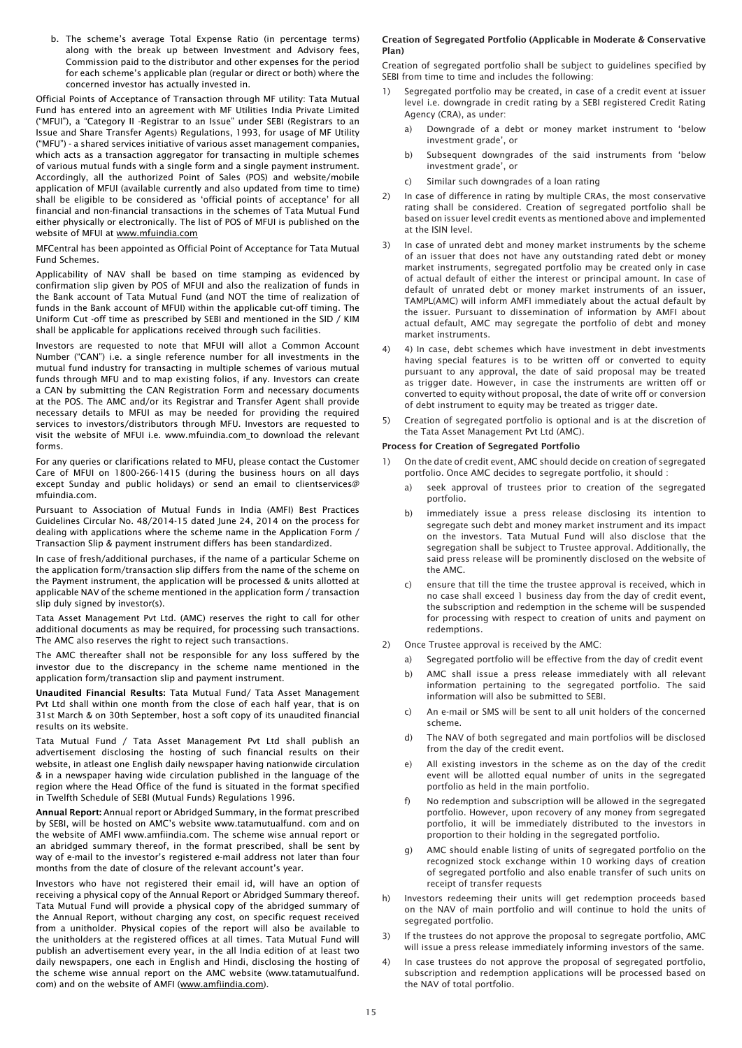b. The scheme's average Total Expense Ratio (in percentage terms) along with the break up between Investment and Advisory fees, Commission paid to the distributor and other expenses for the period for each scheme's applicable plan (regular or direct or both) where the concerned investor has actually invested in.

Official Points of Acceptance of Transaction through MF utility: Tata Mutual Fund has entered into an agreement with MF Utilities India Private Limited ("MFUI"), a "Category II -Registrar to an Issue" under SEBI (Registrars to an Issue and Share Transfer Agents) Regulations, 1993, for usage of MF Utility ("MFU") - a shared services initiative of various asset management companies, which acts as a transaction aggregator for transacting in multiple schemes of various mutual funds with a single form and a single payment instrument. Accordingly, all the authorized Point of Sales (POS) and website/mobile application of MFUI (available currently and also updated from time to time) shall be eligible to be considered as 'official points of acceptance' for all financial and non-financial transactions in the schemes of Tata Mutual Fund either physically or electronically. The list of POS of MFUI is published on the website of MFUI at www.mfuindia.com

MFCentral has been appointed as Official Point of Acceptance for Tata Mutual Fund Schemes.

Applicability of NAV shall be based on time stamping as evidenced by confirmation slip given by POS of MFUI and also the realization of funds in the Bank account of Tata Mutual Fund (and NOT the time of realization of funds in the Bank account of MFUI) within the applicable cut-off timing. The Uniform Cut -off time as prescribed by SEBI and mentioned in the SID / KIM shall be applicable for applications received through such facilities.

Investors are requested to note that MFUI will allot a Common Account Number ("CAN") i.e. a single reference number for all investments in the mutual fund industry for transacting in multiple schemes of various mutual funds through MFU and to map existing folios, if any. Investors can create a CAN by submitting the CAN Registration Form and necessary documents at the POS. The AMC and/or its Registrar and Transfer Agent shall provide necessary details to MFUI as may be needed for providing the required services to investors/distributors through MFU. Investors are requested to visit the website of MFUI i.e. www.mfuindia.com\_to download the relevant forms.

For any queries or clarifications related to MFU, please contact the Customer Care of MFUI on 1800-266-1415 (during the business hours on all days except Sunday and public holidays) or send an email to clientservices@ mfuindia.com.

Pursuant to Association of Mutual Funds in India (AMFI) Best Practices Guidelines Circular No. 48/2014-15 dated June 24, 2014 on the process for dealing with applications where the scheme name in the Application Form / Transaction Slip & payment instrument differs has been standardized.

In case of fresh/additional purchases, if the name of a particular Scheme on the application form/transaction slip differs from the name of the scheme on the Payment instrument, the application will be processed & units allotted at applicable NAV of the scheme mentioned in the application form / transaction slip duly signed by investor(s).

Tata Asset Management Pvt Ltd. (AMC) reserves the right to call for other additional documents as may be required, for processing such transactions. The AMC also reserves the right to reject such transactions.

The AMC thereafter shall not be responsible for any loss suffered by the investor due to the discrepancy in the scheme name mentioned in the application form/transaction slip and payment instrument.

Unaudited Financial Results: Tata Mutual Fund/ Tata Asset Management Pvt Ltd shall within one month from the close of each half year, that is on 31st March & on 30th September, host a soft copy of its unaudited financial results on its website.

Tata Mutual Fund / Tata Asset Management Pvt Ltd shall publish an advertisement disclosing the hosting of such financial results on their website, in atleast one English daily newspaper having nationwide circulation & in a newspaper having wide circulation published in the language of the region where the Head Office of the fund is situated in the format specified in Twelfth Schedule of SEBI (Mutual Funds) Regulations 1996.

Annual Report: Annual report or Abridged Summary, in the format prescribed by SEBI, will be hosted on AMC's website www.tatamutualfund. com and on the website of AMFI www.amfiindia.com. The scheme wise annual report or an abridged summary thereof, in the format prescribed, shall be sent by way of e-mail to the investor's registered e-mail address not later than four months from the date of closure of the relevant account's year.

Investors who have not registered their email id, will have an option of receiving a physical copy of the Annual Report or Abridged Summary thereof. Tata Mutual Fund will provide a physical copy of the abridged summary of the Annual Report, without charging any cost, on specific request received from a unitholder. Physical copies of the report will also be available to the unitholders at the registered offices at all times. Tata Mutual Fund will publish an advertisement every year, in the all India edition of at least two daily newspapers, one each in English and Hindi, disclosing the hosting of the scheme wise annual report on the AMC website (www.tatamutualfund. com) and on the website of AMFI (www.amfiindia.com).

## Creation of Segregated Portfolio (Applicable in Moderate & Conservative Plan)

Creation of segregated portfolio shall be subject to guidelines specified by SEBI from time to time and includes the following:

- 1) Segregated portfolio may be created, in case of a credit event at issuer level i.e. downgrade in credit rating by a SEBI registered Credit Rating Agency (CRA), as under:
	- a) Downgrade of a debt or money market instrument to 'below investment grade', or
	- b) Subsequent downgrades of the said instruments from 'below investment grade', or
	- c) Similar such downgrades of a loan rating
- 2) In case of difference in rating by multiple CRAs, the most conservative rating shall be considered. Creation of segregated portfolio shall be based on issuer level credit events as mentioned above and implemented at the ISIN level.
- 3) In case of unrated debt and money market instruments by the scheme of an issuer that does not have any outstanding rated debt or money market instruments, segregated portfolio may be created only in case of actual default of either the interest or principal amount. In case of default of unrated debt or money market instruments of an issuer, TAMPL(AMC) will inform AMFI immediately about the actual default by the issuer. Pursuant to dissemination of information by AMFI about actual default, AMC may segregate the portfolio of debt and money market instruments.
- 4) 4) In case, debt schemes which have investment in debt investments having special features is to be written off or converted to equity pursuant to any approval, the date of said proposal may be treated as trigger date. However, in case the instruments are written off or converted to equity without proposal, the date of write off or conversion of debt instrument to equity may be treated as trigger date.
- 5) Creation of segregated portfolio is optional and is at the discretion of the Tata Asset Management Pvt Ltd (AMC).

## Process for Creation of Segregated Portfolio

- 1) On the date of credit event, AMC should decide on creation of segregated portfolio. Once AMC decides to segregate portfolio, it should :
	- seek approval of trustees prior to creation of the segregated portfolio.
	- b) immediately issue a press release disclosing its intention to segregate such debt and money market instrument and its impact on the investors. Tata Mutual Fund will also disclose that the segregation shall be subject to Trustee approval. Additionally, the said press release will be prominently disclosed on the website of the AMC.
	- c) ensure that till the time the trustee approval is received, which in no case shall exceed 1 business day from the day of credit event, the subscription and redemption in the scheme will be suspended for processing with respect to creation of units and payment on redemptions.
- 2) Once Trustee approval is received by the AMC:
	- a) Segregated portfolio will be effective from the day of credit event
	- b) AMC shall issue a press release immediately with all relevant information pertaining to the segregated portfolio. The said information will also be submitted to SEBI.
	- c) An e-mail or SMS will be sent to all unit holders of the concerned scheme.
	- d) The NAV of both segregated and main portfolios will be disclosed from the day of the credit event.
	- e) All existing investors in the scheme as on the day of the credit event will be allotted equal number of units in the segregated portfolio as held in the main portfolio.
	- f) No redemption and subscription will be allowed in the segregated portfolio. However, upon recovery of any money from segregated portfolio, it will be immediately distributed to the investors in proportion to their holding in the segregated portfolio.
	- g) AMC should enable listing of units of segregated portfolio on the recognized stock exchange within 10 working days of creation of segregated portfolio and also enable transfer of such units on receipt of transfer requests
- h) Investors redeeming their units will get redemption proceeds based on the NAV of main portfolio and will continue to hold the units of segregated portfolio.
- 3) If the trustees do not approve the proposal to segregate portfolio, AMC will issue a press release immediately informing investors of the same.
- 4) In case trustees do not approve the proposal of segregated portfolio, subscription and redemption applications will be processed based on the NAV of total portfolio.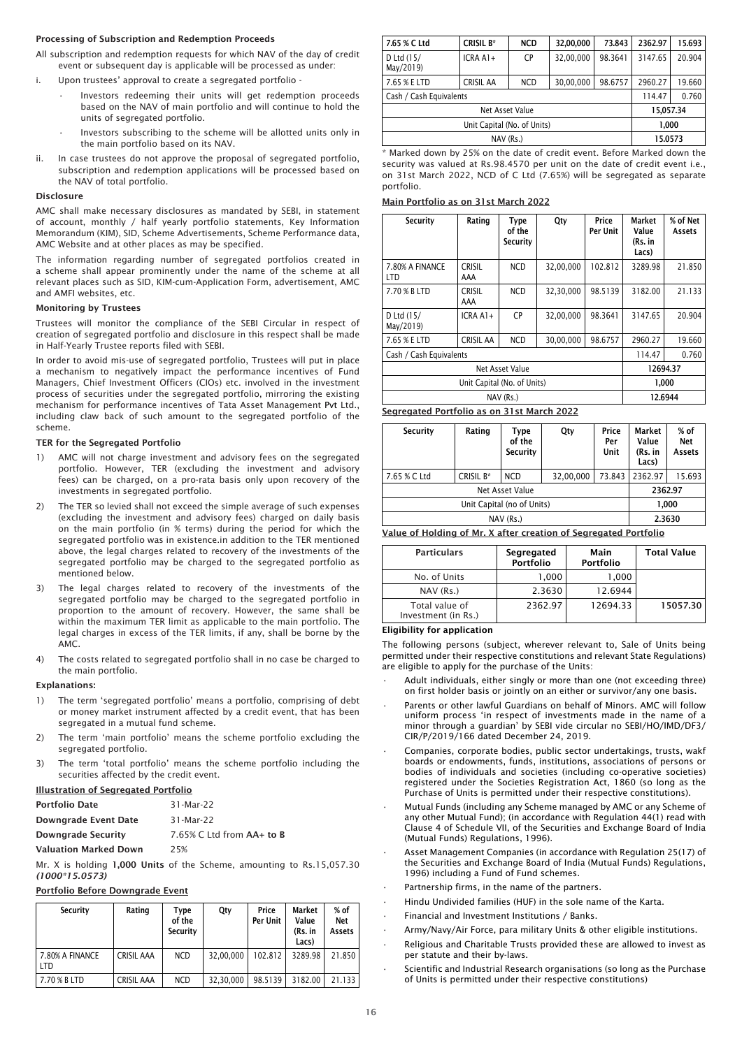# Processing of Subscription and Redemption Proceeds

All subscription and redemption requests for which NAV of the day of credit event or subsequent day is applicable will be processed as under:

- i. Upon trustees' approval to create a segregated portfolio -
	- Investors redeeming their units will get redemption proceeds based on the NAV of main portfolio and will continue to hold the units of segregated portfolio.
	- Investors subscribing to the scheme will be allotted units only in the main portfolio based on its NAV.
- ii. In case trustees do not approve the proposal of segregated portfolio, subscription and redemption applications will be processed based on the NAV of total portfolio.

## Disclosure

AMC shall make necessary disclosures as mandated by SEBI, in statement of account, monthly / half yearly portfolio statements, Key Information Memorandum (KIM), SID, Scheme Advertisements, Scheme Performance data, AMC Website and at other places as may be specified.

The information regarding number of segregated portfolios created in a scheme shall appear prominently under the name of the scheme at all relevant places such as SID, KIM-cum-Application Form, advertisement, AMC and AMFI websites, etc.

## Monitoring by Trustees

Trustees will monitor the compliance of the SEBI Circular in respect of creation of segregated portfolio and disclosure in this respect shall be made in Half-Yearly Trustee reports filed with SEBI.

In order to avoid mis-use of segregated portfolio, Trustees will put in place a mechanism to negatively impact the performance incentives of Fund Managers, Chief Investment Officers (CIOs) etc. involved in the investment process of securities under the segregated portfolio, mirroring the existing mechanism for performance incentives of Tata Asset Management Pvt Ltd., including claw back of such amount to the segregated portfolio of the scheme.

## TER for the Segregated Portfolio

- 1) AMC will not charge investment and advisory fees on the segregated portfolio. However, TER (excluding the investment and advisory fees) can be charged, on a pro-rata basis only upon recovery of the investments in segregated portfolio.
- 2) The TER so levied shall not exceed the simple average of such expenses (excluding the investment and advisory fees) charged on daily basis on the main portfolio (in % terms) during the period for which the segregated portfolio was in existence.in addition to the TER mentioned above, the legal charges related to recovery of the investments of the segregated portfolio may be charged to the segregated portfolio as mentioned below.
- 3) The legal charges related to recovery of the investments of the segregated portfolio may be charged to the segregated portfolio in proportion to the amount of recovery. However, the same shall be within the maximum TER limit as applicable to the main portfolio. The legal charges in excess of the TER limits, if any, shall be borne by the AMC.
- 4) The costs related to segregated portfolio shall in no case be charged to the main portfolio.

# Explanations:

- 1) The term 'segregated portfolio' means a portfolio, comprising of debt or money market instrument affected by a credit event, that has been segregated in a mutual fund scheme.
- 2) The term 'main portfolio' means the scheme portfolio excluding the segregated portfolio.
- 3) The term 'total portfolio' means the scheme portfolio including the securities affected by the credit event.

## Illustration of Segregated Portfolio

| <b>Portfolio Date</b>     | 31-Mar-22                 |
|---------------------------|---------------------------|
| Downgrade Event Date      | 31-Mar-22                 |
| <b>Downgrade Security</b> | 7.65% C Ltd from AA+ to B |

Valuation Marked Down 25%

Mr. X is holding 1,000 Units of the Scheme, amounting to Rs.15,057.30 *(1000\*15.0573)*

# Portfolio Before Downgrade Event

| <b>Security</b>               | Rating            | Type<br>of the<br>Security | Qty       | Price<br>Per Unit | Market<br>Value<br>(Rs. in<br>Lacs) | $%$ of<br><b>Net</b><br>Assets |
|-------------------------------|-------------------|----------------------------|-----------|-------------------|-------------------------------------|--------------------------------|
| 7.80% A FINANCE<br><b>LTD</b> | <b>CRISIL AAA</b> | <b>NCD</b>                 | 32.00.000 | 102.812           | 3289.98                             | 21.850                         |
| 7.70 % B LTD                  | <b>CRISIL AAA</b> | <b>NCD</b>                 | 32.30.000 | 98.5139           | 3182.00                             | 21.133                         |

| 7.65 % C Ltd                | <b>CRISIL B*</b> | <b>NCD</b> | 32,00,000 | 73.843  | 2362.97 | 15.693    |  |
|-----------------------------|------------------|------------|-----------|---------|---------|-----------|--|
| D Ltd (15/<br>May/2019)     | $ICRA A1+$       | <b>CP</b>  | 32,00,000 | 98.3641 | 3147.65 | 20.904    |  |
| 7.65 % E LTD                | <b>CRISIL AA</b> | <b>NCD</b> | 30,00,000 | 98.6757 | 2960.27 | 19.660    |  |
| Cash / Cash Equivalents     |                  |            |           |         |         | 0.760     |  |
| Net Asset Value             |                  |            |           |         |         | 15,057.34 |  |
| Unit Capital (No. of Units) |                  |            |           |         | 1,000   |           |  |
| NAV (Rs.)                   |                  |            |           |         | 15.0573 |           |  |

\* Marked down by 25% on the date of credit event. Before Marked down the security was valued at Rs.98.4570 per unit on the date of credit event i.e., on 31st March 2022, NCD of C Ltd (7.65%) will be segregated as separate portfolio.

## Main Portfolio as on 31st March 2022

| <b>Security</b>               | Rating               | <b>Type</b><br>of the<br><b>Security</b> | Qty       | Price<br>Per Unit | Market<br>Value<br>(Rs. in<br>Lacs) | % of Net<br><b>Assets</b> |
|-------------------------------|----------------------|------------------------------------------|-----------|-------------------|-------------------------------------|---------------------------|
| 7.80% A FINANCE<br><b>LTD</b> | <b>CRISIL</b><br>AAA | <b>NCD</b>                               | 32.00.000 | 102.812           | 3289.98                             | 21.850                    |
| 7.70 % B LTD                  | <b>CRISIL</b><br>AAA | <b>NCD</b>                               | 32,30,000 | 98.5139           | 3182.00                             | 21.133                    |
| D Ltd (15/<br>May/2019)       | ICRA A1+             | <b>CP</b>                                | 32,00,000 | 98.3641           | 3147.65                             | 20.904                    |
| 7.65 % E LTD                  | <b>CRISIL AA</b>     | <b>NCD</b>                               | 30,00,000 | 98.6757           | 2960.27                             | 19.660                    |
| Cash / Cash Equivalents       |                      |                                          |           |                   | 114.47                              | 0.760                     |
| Net Asset Value               |                      |                                          |           |                   | 12694.37                            |                           |
| Unit Capital (No. of Units)   |                      |                                          |           |                   | 1,000                               |                           |
| NAV (Rs.)                     |                      |                                          |           |                   | 12.6944                             |                           |

## Segregated Portfolio as on 31st March 2022

| Security                   | Rating    | Type<br>of the<br><b>Security</b> | Qty       | Price<br>Per<br>Unit | Market<br>Value<br>(Rs. in<br>Lacs) | $%$ of<br><b>Net</b><br>Assets |
|----------------------------|-----------|-----------------------------------|-----------|----------------------|-------------------------------------|--------------------------------|
| 7.65 % C Ltd               | CRISIL B* | <b>NCD</b>                        | 32,00,000 | 73.843               | 2362.97                             | 15.693                         |
| Net Asset Value            |           |                                   |           |                      | 2362.97                             |                                |
| Unit Capital (no of Units) |           |                                   |           |                      | 1,000                               |                                |
| NAV (Rs.)                  |           |                                   |           |                      | 2.3630                              |                                |

# Value of Holding of Mr. X after creation of Segregated Portfolio

| <b>Particulars</b>                    | Segregated<br>Portfolio | Main<br>Portfolio | <b>Total Value</b> |
|---------------------------------------|-------------------------|-------------------|--------------------|
| No. of Units                          | 1,000                   | 1,000             |                    |
| $NAV$ ( $Rs.$ )                       | 2.3630                  | 12.6944           |                    |
| Total value of<br>Investment (in Rs.) | 2362.97                 | 12694.33          | 15057.30           |

#### Eligibility for application

The following persons (subject, wherever relevant to, Sale of Units being permitted under their respective constitutions and relevant State Regulations) are eligible to apply for the purchase of the Units:

- Adult individuals, either singly or more than one (not exceeding three) on first holder basis or jointly on an either or survivor/any one basis.
- Parents or other lawful Guardians on behalf of Minors. AMC will follow uniform process 'in respect of investments made in the name of a minor through a guardian' by SEBI vide circular no SEBI/HO/IMD/DF3/ CIR/P/2019/166 dated December 24, 2019.
- Companies, corporate bodies, public sector undertakings, trusts, wakf boards or endowments, funds, institutions, associations of persons or bodies of individuals and societies (including co-operative societies) registered under the Societies Registration Act, 1860 (so long as the Purchase of Units is permitted under their respective constitutions).
- Mutual Funds (including any Scheme managed by AMC or any Scheme of any other Mutual Fund); (in accordance with Regulation 44(1) read with Clause 4 of Schedule VII, of the Securities and Exchange Board of India (Mutual Funds) Regulations, 1996).
- Asset Management Companies (in accordance with Regulation 25(17) of the Securities and Exchange Board of India (Mutual Funds) Regulations, 1996) including a Fund of Fund schemes.
- Partnership firms, in the name of the partners.
- Hindu Undivided families (HUF) in the sole name of the Karta.
- Financial and Investment Institutions / Banks.
- Army/Navy/Air Force, para military Units & other eligible institutions.
- Religious and Charitable Trusts provided these are allowed to invest as per statute and their by-laws.
- Scientific and Industrial Research organisations (so long as the Purchase of Units is permitted under their respective constitutions)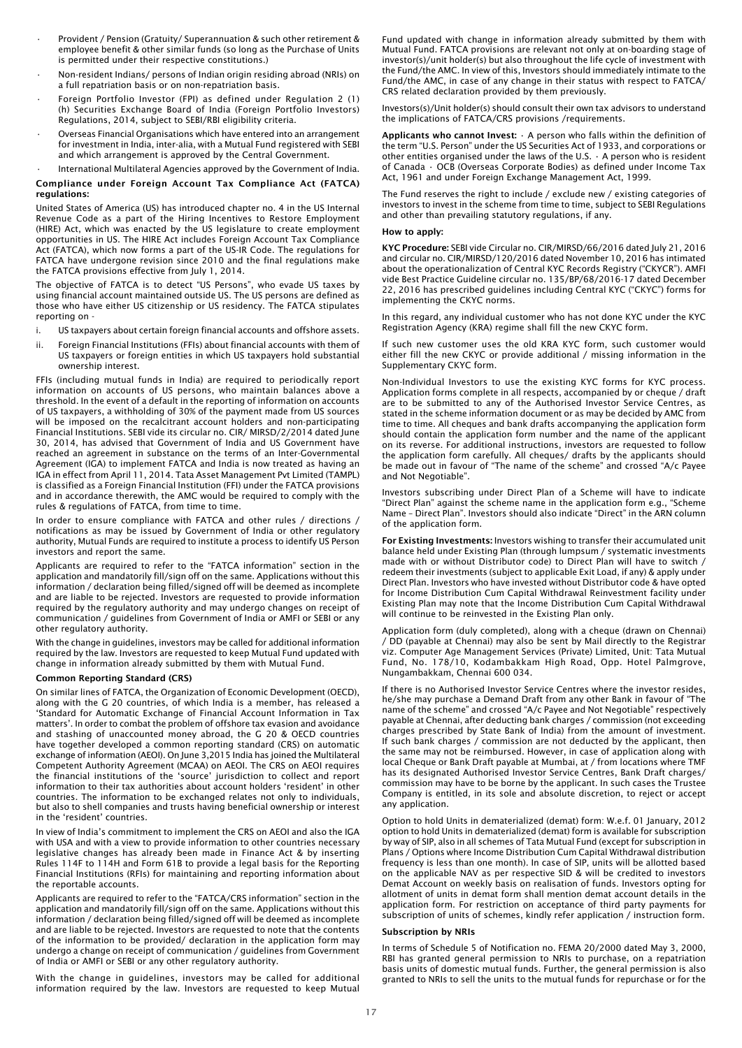- Provident / Pension (Gratuity/ Superannuation & such other retirement & employee benefit & other similar funds (so long as the Purchase of Units is permitted under their respective constitutions.)
- Non-resident Indians/ persons of Indian origin residing abroad (NRIs) on a full repatriation basis or on non-repatriation basis.
- Foreign Portfolio Investor (FPI) as defined under Regulation 2 (1) (h) Securities Exchange Board of India (Foreign Portfolio Investors) Regulations, 2014, subject to SEBI/RBI eligibility criteria.
- Overseas Financial Organisations which have entered into an arrangement for investment in India, inter-alia, with a Mutual Fund registered with SEBI and which arrangement is approved by the Central Government.

#### • International Multilateral Agencies approved by the Government of India. Compliance under Foreign Account Tax Compliance Act (FATCA) regulations:

United States of America (US) has introduced chapter no. 4 in the US Internal Revenue Code as a part of the Hiring Incentives to Restore Employment (HIRE) Act, which was enacted by the US legislature to create employment opportunities in US. The HIRE Act includes Foreign Account Tax Compliance Act (FATCA), which now forms a part of the US-IR Code. The regulations for FATCA have undergone revision since 2010 and the final regulations make the FATCA provisions effective from July 1, 2014.

The objective of FATCA is to detect "US Persons", who evade US taxes by using financial account maintained outside US. The US persons are defined as those who have either US citizenship or US residency. The FATCA stipulates reporting on -

- i. US taxpayers about certain foreign financial accounts and offshore assets.
- ii. Foreign Financial Institutions (FFIs) about financial accounts with them of US taxpayers or foreign entities in which US taxpayers hold substantial ownership interest.

FFIs (including mutual funds in India) are required to periodically report information on accounts of US persons, who maintain balances above a threshold. In the event of a default in the reporting of information on accounts of US taxpayers, a withholding of 30% of the payment made from US sources will be imposed on the recalcitrant account holders and non-participating Financial Institutions. SEBI vide its circular no. CIR/ MIRSD/2/2014 dated June 30, 2014, has advised that Government of India and US Government have reached an agreement in substance on the terms of an Inter-Governmental Agreement (IGA) to implement FATCA and India is now treated as having an IGA in effect from April 11, 2014. Tata Asset Management Pvt Limited (TAMPL) is classified as a Foreign Financial Institution (FFI) under the FATCA provisions and in accordance therewith, the AMC would be required to comply with the rules & regulations of FATCA, from time to time.

In order to ensure compliance with FATCA and other rules / directions / notifications as may be issued by Government of India or other regulatory authority, Mutual Funds are required to institute a process to identify US Person investors and report the same.

Applicants are required to refer to the "FATCA information" section in the application and mandatorily fill/sign off on the same. Applications without this information / declaration being filled/signed off will be deemed as incomplete and are liable to be rejected. Investors are requested to provide information required by the regulatory authority and may undergo changes on receipt of communication / guidelines from Government of India or AMFI or SEBI or any other regulatory authority.

With the change in guidelines, investors may be called for additional information required by the law. Investors are requested to keep Mutual Fund updated with change in information already submitted by them with Mutual Fund.

## Common Reporting Standard (CRS)

On similar lines of FATCA, the Organization of Economic Development (OECD), along with the G 20 countries, of which India is a member, has released a 'Standard for Automatic Exchange of Financial Account Information in Tax matters'. In order to combat the problem of offshore tax evasion and avoidance and stashing of unaccounted money abroad, the G 20 & OECD countries have together developed a common reporting standard (CRS) on automatic exchange of information (AEOI). On June 3,2015 India has joined the Multilateral Competent Authority Agreement (MCAA) on AEOI. The CRS on AEOI requires the financial institutions of the 'source' jurisdiction to collect and report information to their tax authorities about account holders 'resident' in other countries. The information to be exchanged relates not only to individuals, but also to shell companies and trusts having beneficial ownership or interest in the 'resident' countries.

In view of India's commitment to implement the CRS on AEOI and also the IGA with USA and with a view to provide information to other countries necessary legislative changes has already been made in Finance Act & by inserting Rules 114F to 114H and Form 61B to provide a legal basis for the Reporting Financial Institutions (RFIs) for maintaining and reporting information about the reportable accounts.

Applicants are required to refer to the "FATCA/CRS information" section in the application and mandatorily fill/sign off on the same. Applications without this information / declaration being filled/signed off will be deemed as incomplete and are liable to be rejected. Investors are requested to note that the contents of the information to be provided/ declaration in the application form may undergo a change on receipt of communication / guidelines from Government of India or AMFI or SEBI or any other regulatory authority.

With the change in guidelines, investors may be called for additional information required by the law. Investors are requested to keep Mutual Fund updated with change in information already submitted by them with Mutual Fund. FATCA provisions are relevant not only at on-boarding stage of investor(s)/unit holder(s) but also throughout the life cycle of investment with the Fund/the AMC. In view of this, Investors should immediately intimate to the Fund/the AMC, in case of any change in their status with respect to FATCA/ CRS related declaration provided by them previously.

Investors(s)/Unit holder(s) should consult their own tax advisors to understand the implications of FATCA/CRS provisions /requirements.

Applicants who cannot Invest:  $\cdot$  A person who falls within the definition of the term "U.S. Person" under the US Securities Act of 1933, and corporations or other entities organised under the laws of the U.S. • A person who is resident of Canada • OCB (Overseas Corporate Bodies) as defined under Income Tax Act, 1961 and under Foreign Exchange Management Act, 1999.

The Fund reserves the right to include / exclude new / existing categories of investors to invest in the scheme from time to time, subject to SEBI Regulations and other than prevailing statutory regulations, if any.

#### How to apply:

KYC Procedure: SEBI vide Circular no. CIR/MIRSD/66/2016 dated July 21, 2016 and circular no. CIR/MIRSD/120/2016 dated November 10, 2016 has intimated about the operationalization of Central KYC Records Registry ("CKYCR"). AMFI vide Best Practice Guideline circular no. 135/BP/68/2016-17 dated December 22, 2016 has prescribed guidelines including Central KYC ("CKYC") forms for implementing the CKYC norms.

In this regard, any individual customer who has not done KYC under the KYC Registration Agency (KRA) regime shall fill the new CKYC form.

If such new customer uses the old KRA KYC form, such customer would either fill the new CKYC or provide additional / missing information in the Supplementary CKYC form.

Non-Individual Investors to use the existing KYC forms for KYC process. Application forms complete in all respects, accompanied by or cheque / draft are to be submitted to any of the Authorised Investor Service Centres, as stated in the scheme information document or as may be decided by AMC from time to time. All cheques and bank drafts accompanying the application form should contain the application form number and the name of the applicant on its reverse. For additional instructions, investors are requested to follow the application form carefully. All cheques/ drafts by the applicants should be made out in favour of "The name of the scheme" and crossed "A/c Payee and Not Negotiable".

Investors subscribing under Direct Plan of a Scheme will have to indicate "Direct Plan" against the scheme name in the application form e.g., "Scheme Name – Direct Plan". Investors should also indicate "Direct" in the ARN column of the application form.

For Existing Investments: Investors wishing to transfer their accumulated unit balance held under Existing Plan (through lumpsum / systematic investments made with or without Distributor code) to Direct Plan will have to switch / redeem their investments (subject to applicable Exit Load, if any) & apply under Direct Plan. Investors who have invested without Distributor code & have opted for Income Distribution Cum Capital Withdrawal Reinvestment facility under Existing Plan may note that the Income Distribution Cum Capital Withdrawal will continue to be reinvested in the Existing Plan only.

Application form (duly completed), along with a cheque (drawn on Chennai) / DD (payable at Chennai) may also be sent by Mail directly to the Registrar viz. Computer Age Management Services (Private) Limited, Unit: Tata Mutual Fund, No. 178/10, Kodambakkam High Road, Opp. Hotel Palmgrove, Nungambakkam, Chennai 600 034.

If there is no Authorised Investor Service Centres where the investor resides, he/she may purchase a Demand Draft from any other Bank in favour of "The name of the scheme" and crossed "A/c Payee and Not Negotiable" respectively payable at Chennai, after deducting bank charges / commission (not exceeding charges prescribed by State Bank of India) from the amount of investment. If such bank charges / commission are not deducted by the applicant, then the same may not be reimbursed. However, in case of application along with local Cheque or Bank Draft payable at Mumbai, at / from locations where TMF has its designated Authorised Investor Service Centres, Bank Draft charges/ commission may have to be borne by the applicant. In such cases the Trustee Company is entitled, in its sole and absolute discretion, to reject or accept any application.

Option to hold Units in dematerialized (demat) form: W.e.f. 01 January, 2012 option to hold Units in dematerialized (demat) form is available for subscription by way of SIP, also in all schemes of Tata Mutual Fund (except for subscription in Plans / Options where Income Distribution Cum Capital Withdrawal distribution frequency is less than one month). In case of SIP, units will be allotted based on the applicable NAV as per respective SID & will be credited to investors Demat Account on weekly basis on realisation of funds. Investors opting for allotment of units in demat form shall mention demat account details in the application form. For restriction on acceptance of third party payments for subscription of units of schemes, kindly refer application / instruction form.

## Subscription by NRIs

In terms of Schedule 5 of Notification no. FEMA 20/2000 dated May 3, 2000, RBI has granted general permission to NRIs to purchase, on a repatriation basis units of domestic mutual funds. Further, the general permission is also granted to NRIs to sell the units to the mutual funds for repurchase or for the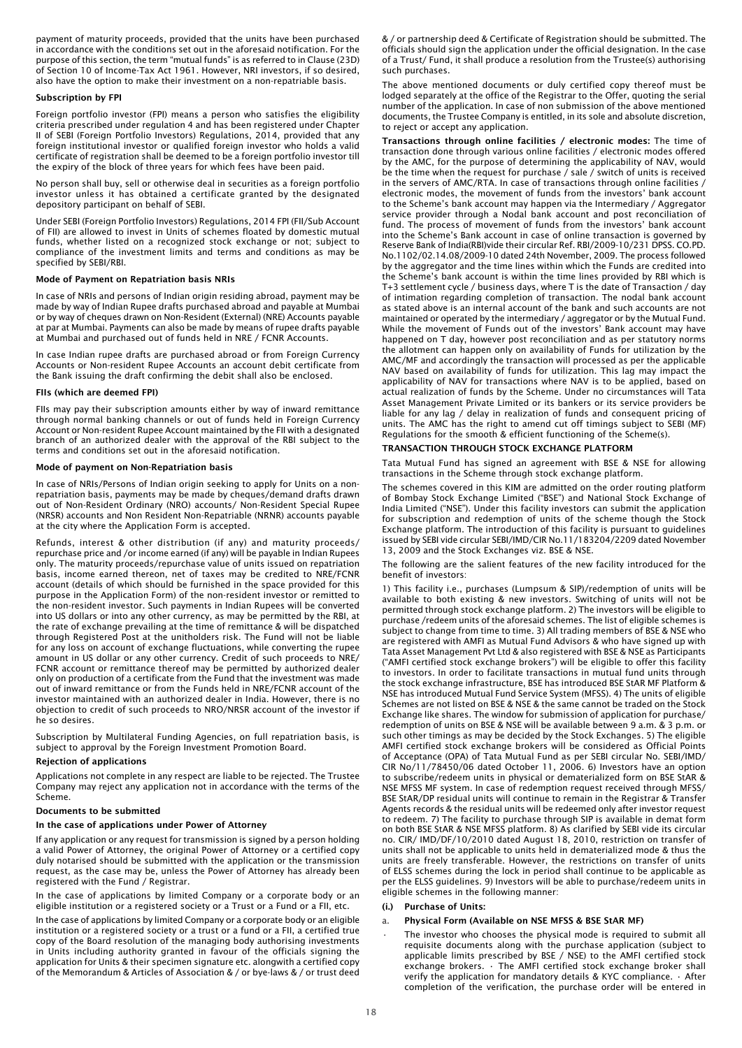payment of maturity proceeds, provided that the units have been purchased in accordance with the conditions set out in the aforesaid notification. For the purpose of this section, the term "mutual funds" is as referred to in Clause (23D) of Section 10 of Income-Tax Act 1961. However, NRI investors, if so desired, also have the option to make their investment on a non-repatriable basis.

#### Subscription by FPI

Foreign portfolio investor (FPI) means a person who satisfies the eligibility criteria prescribed under regulation 4 and has been registered under Chapter II of SEBI (Foreign Portfolio Investors) Regulations, 2014, provided that any foreign institutional investor or qualified foreign investor who holds a valid certificate of registration shall be deemed to be a foreign portfolio investor till the expiry of the block of three years for which fees have been paid.

No person shall buy, sell or otherwise deal in securities as a foreign portfolio investor unless it has obtained a certificate granted by the designated depository participant on behalf of SEBI.

Under SEBI (Foreign Portfolio Investors) Regulations, 2014 FPI (FII/Sub Account of FII) are allowed to invest in Units of schemes floated by domestic mutual funds, whether listed on a recognized stock exchange or not; subject to compliance of the investment limits and terms and conditions as may be specified by SEBI/RBI.

#### Mode of Payment on Repatriation basis NRIs

In case of NRIs and persons of Indian origin residing abroad, payment may be made by way of Indian Rupee drafts purchased abroad and payable at Mumbai or by way of cheques drawn on Non-Resident (External) (NRE) Accounts payable at par at Mumbai. Payments can also be made by means of rupee drafts payable at Mumbai and purchased out of funds held in NRE / FCNR Accounts.

In case Indian rupee drafts are purchased abroad or from Foreign Currency Accounts or Non-resident Rupee Accounts an account debit certificate from the Bank issuing the draft confirming the debit shall also be enclosed.

## FIIs (which are deemed FPI)

FIIs may pay their subscription amounts either by way of inward remittance through normal banking channels or out of funds held in Foreign Currency Account or Non-resident Rupee Account maintained by the FII with a designated branch of an authorized dealer with the approval of the RBI subject to the terms and conditions set out in the aforesaid notification.

### Mode of payment on Non-Repatriation basis

In case of NRIs/Persons of Indian origin seeking to apply for Units on a nonrepatriation basis, payments may be made by cheques/demand drafts drawn out of Non-Resident Ordinary (NRO) accounts/ Non-Resident Special Rupee (NRSR) accounts and Non Resident Non-Repatriable (NRNR) accounts payable at the city where the Application Form is accepted.

Refunds, interest & other distribution (if any) and maturity proceeds/ repurchase price and /or income earned (if any) will be payable in Indian Rupees only. The maturity proceeds/repurchase value of units issued on repatriation basis, income earned thereon, net of taxes may be credited to NRE/FCNR account (details of which should be furnished in the space provided for this purpose in the Application Form) of the non-resident investor or remitted to the non-resident investor. Such payments in Indian Rupees will be converted into US dollars or into any other currency, as may be permitted by the RBI, at the rate of exchange prevailing at the time of remittance & will be dispatched through Registered Post at the unitholders risk. The Fund will not be liable for any loss on account of exchange fluctuations, while converting the rupee amount in US dollar or any other currency. Credit of such proceeds to NRE/ FCNR account or remittance thereof may be permitted by authorized dealer only on production of a certificate from the Fund that the investment was made out of inward remittance or from the Funds held in NRE/FCNR account of the investor maintained with an authorized dealer in India. However, there is no objection to credit of such proceeds to NRO/NRSR account of the investor if he so desires.

Subscription by Multilateral Funding Agencies, on full repatriation basis, is subject to approval by the Foreign Investment Promotion Board.

#### Rejection of applications

Applications not complete in any respect are liable to be rejected. The Trustee Company may reject any application not in accordance with the terms of the Scheme.

#### Documents to be submitted

## In the case of applications under Power of Attorney

If any application or any request for transmission is signed by a person holding a valid Power of Attorney, the original Power of Attorney or a certified copy duly notarised should be submitted with the application or the transmission request, as the case may be, unless the Power of Attorney has already been registered with the Fund / Registrar.

In the case of applications by limited Company or a corporate body or an eligible institution or a registered society or a Trust or a Fund or a FII, etc.

In the case of applications by limited Company or a corporate body or an eligible institution or a registered society or a trust or a fund or a FII, a certified true copy of the Board resolution of the managing body authorising investments in Units including authority granted in favour of the officials signing the application for Units & their specimen signature etc. alongwith a certified copy of the Memorandum & Articles of Association & / or bye-laws & / or trust deed

& / or partnership deed & Certificate of Registration should be submitted. The officials should sign the application under the official designation. In the case of a Trust/ Fund, it shall produce a resolution from the Trustee(s) authorising such purchases.

The above mentioned documents or duly certified copy thereof must be lodged separately at the office of the Registrar to the Offer, quoting the serial number of the application. In case of non submission of the above mentioned documents, the Trustee Company is entitled, in its sole and absolute discretion, to reject or accept any application.

Transactions through online facilities / electronic modes: The time of transaction done through various online facilities / electronic modes offered by the AMC, for the purpose of determining the applicability of NAV, would be the time when the request for purchase / sale / switch of units is received in the servers of AMC/RTA. In case of transactions through online facilities / electronic modes, the movement of funds from the investors' bank account to the Scheme's bank account may happen via the Intermediary / Aggregator service provider through a Nodal bank account and post reconciliation of fund. The process of movement of funds from the investors' bank account into the Scheme's Bank account in case of online transaction is governed by Reserve Bank of India(RBI)vide their circular Ref. RBI/2009-10/231 DPSS. CO.PD. No.1102/02.14.08/2009-10 dated 24th November, 2009. The process followed by the aggregator and the time lines within which the Funds are credited into the Scheme's bank account is within the time lines provided by RBI which is T+3 settlement cycle / business days, where T is the date of Transaction / day of intimation regarding completion of transaction. The nodal bank account as stated above is an internal account of the bank and such accounts are not maintained or operated by the intermediary / aggregator or by the Mutual Fund. While the movement of Funds out of the investors' Bank account may have happened on T day, however post reconciliation and as per statutory norms the allotment can happen only on availability of Funds for utilization by the AMC/MF and accordingly the transaction will processed as per the applicable NAV based on availability of funds for utilization. This lag may impact the applicability of NAV for transactions where NAV is to be applied, based on actual realization of funds by the Scheme. Under no circumstances will Tata Asset Management Private Limited or its bankers or its service providers be liable for any lag / delay in realization of funds and consequent pricing of units. The AMC has the right to amend cut off timings subject to SEBI (MF) Regulations for the smooth & efficient functioning of the Scheme(s).

#### TRANSACTION THROUGH STOCK EXCHANGE PLATFORM

Tata Mutual Fund has signed an agreement with BSE & NSE for allowing transactions in the Scheme through stock exchange platform.

The schemes covered in this KIM are admitted on the order routing platform of Bombay Stock Exchange Limited ("BSE") and National Stock Exchange of India Limited ("NSE"). Under this facility investors can submit the application for subscription and redemption of units of the scheme though the Stock Exchange platform. The introduction of this facility is pursuant to guidelines issued by SEBI vide circular SEBI/IMD/CIR No.11/183204/2209 dated November 13, 2009 and the Stock Exchanges viz. BSE & NSE.

The following are the salient features of the new facility introduced for the benefit of investors:

1) This facility i.e., purchases (Lumpsum & SIP)/redemption of units will be available to both existing & new investors. Switching of units will not be permitted through stock exchange platform. 2) The investors will be eligible to purchase /redeem units of the aforesaid schemes. The list of eligible schemes is subject to change from time to time. 3) All trading members of BSE & NSE who are registered with AMFI as Mutual Fund Advisors & who have signed up with Tata Asset Management Pvt Ltd & also registered with BSE & NSE as Participants ("AMFI certified stock exchange brokers") will be eligible to offer this facility to investors. In order to facilitate transactions in mutual fund units through the stock exchange infrastructure, BSE has introduced BSE StAR MF Platform & NSE has introduced Mutual Fund Service System (MFSS). 4) The units of eligible Schemes are not listed on BSE & NSE & the same cannot be traded on the Stock Exchange like shares. The window for submission of application for purchase/ redemption of units on BSE & NSE will be available between 9 a.m. & 3 p.m. or such other timings as may be decided by the Stock Exchanges. 5) The eligible AMFI certified stock exchange brokers will be considered as Official Points of Acceptance (OPA) of Tata Mutual Fund as per SEBI circular No. SEBI/IMD/ CIR No/11/78450/06 dated October 11, 2006. 6) Investors have an option to subscribe/redeem units in physical or dematerialized form on BSE StAR & NSE MFSS MF system. In case of redemption request received through MFSS/ BSE StAR/DP residual units will continue to remain in the Registrar & Transfer Agents records & the residual units will be redeemed only after investor request to redeem. 7) The facility to purchase through SIP is available in demat form on both BSE StAR & NSE MFSS platform. 8) As clarified by SEBI vide its circular no. CIR/ IMD/DF/10/2010 dated August 18, 2010, restriction on transfer of units shall not be applicable to units held in dematerialized mode & thus the units are freely transferable. However, the restrictions on transfer of units of ELSS schemes during the lock in period shall continue to be applicable as per the ELSS guidelines. 9) Investors will be able to purchase/redeem units in eligible schemes in the following manner:

#### (i.) Purchase of Units:

#### a. Physical Form (Available on NSE MFSS & BSE StAR MF)

The investor who chooses the physical mode is required to submit all requisite documents along with the purchase application (subject to applicable limits prescribed by BSE / NSE) to the AMFI certified stock exchange brokers. • The AMFI certified stock exchange broker shall verify the application for mandatory details & KYC compliance. • After completion of the verification, the purchase order will be entered in